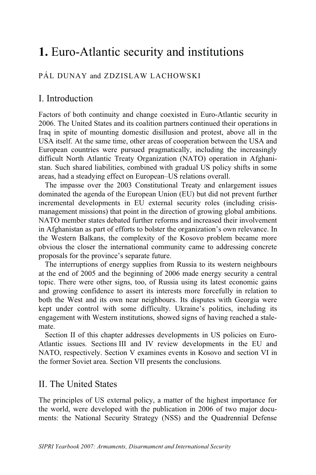# **1.** Euro-Atlantic security and institutions

# PÁL DUNAY and ZDZISLAW LACHOWSKI

# I. Introduction

Factors of both continuity and change coexisted in Euro-Atlantic security in 2006. The United States and its coalition partners continued their operations in Iraq in spite of mounting domestic disillusion and protest, above all in the USA itself. At the same time, other areas of cooperation between the USA and European countries were pursued pragmatically, including the increasingly difficult North Atlantic Treaty Organization (NATO) operation in Afghanistan. Such shared liabilities, combined with gradual US policy shifts in some areas, had a steadying effect on European–US relations overall.

The impasse over the 2003 Constitutional Treaty and enlargement issues dominated the agenda of the European Union (EU) but did not prevent further incremental developments in EU external security roles (including crisismanagement missions) that point in the direction of growing global ambitions. NATO member states debated further reforms and increased their involvement in Afghanistan as part of efforts to bolster the organization's own relevance. In the Western Balkans, the complexity of the Kosovo problem became more obvious the closer the international community came to addressing concrete proposals for the province's separate future.

The interruptions of energy supplies from Russia to its western neighbours at the end of 2005 and the beginning of 2006 made energy security a central topic. There were other signs, too, of Russia using its latest economic gains and growing confidence to assert its interests more forcefully in relation to both the West and its own near neighbours. Its disputes with Georgia were kept under control with some difficulty. Ukraine's politics, including its engagement with Western institutions, showed signs of having reached a stalemate.

Section II of this chapter addresses developments in US policies on Euro-Atlantic issues. Sections III and IV review developments in the EU and NATO, respectively. Section V examines events in Kosovo and section VI in the former Soviet area. Section VII presents the conclusions.

# II. The United States

The principles of US external policy, a matter of the highest importance for the world, were developed with the publication in 2006 of two major documents: the National Security Strategy (NSS) and the Quadrennial Defense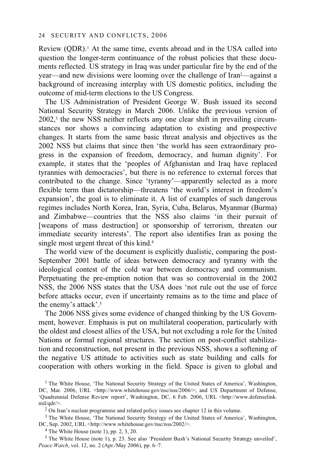Review (QDR).1 At the same time, events abroad and in the USA called into question the longer-term continuance of the robust policies that these documents reflected. US strategy in Iraq was under particular fire by the end of the year—and new divisions were looming over the challenge of Iran2—against a background of increasing interplay with US domestic politics, including the outcome of mid-term elections to the US Congress.

The US Administration of President George W. Bush issued its second National Security Strategy in March 2006. Unlike the previous version of 2002,3 the new NSS neither reflects any one clear shift in prevailing circumstances nor shows a convincing adaptation to existing and prospective changes. It starts from the same basic threat analysis and objectives as the 2002 NSS but claims that since then 'the world has seen extraordinary progress in the expansion of freedom, democracy, and human dignity'. For example, it states that the 'peoples of Afghanistan and Iraq have replaced tyrannies with democracies', but there is no reference to external forces that contributed to the change. Since 'tyranny'—apparently selected as a more flexible term than dictatorship—threatens 'the world's interest in freedom's expansion', the goal is to eliminate it. A list of examples of such dangerous regimes includes North Korea, Iran, Syria, Cuba, Belarus, Myanmar (Burma) and Zimbabwe—countries that the NSS also claims 'in their pursuit of [weapons of mass destruction] or sponsorship of terrorism, threaten our immediate security interests'. The report also identifies Iran as posing the single most urgent threat of this kind.4

The world view of the document is explicitly dualistic, comparing the post-September 2001 battle of ideas between democracy and tyranny with the ideological contest of the cold war between democracy and communism. Perpetuating the pre-emption notion that was so controversial in the 2002 NSS, the 2006 NSS states that the USA does 'not rule out the use of force before attacks occur, even if uncertainty remains as to the time and place of the enemy's attack'.5

The 2006 NSS gives some evidence of changed thinking by the US Government, however. Emphasis is put on multilateral cooperation, particularly with the oldest and closest allies of the USA, but not excluding a role for the United Nations or formal regional structures. The section on post-conflict stabilization and reconstruction, not present in the previous NSS, shows a softening of the negative US attitude to activities such as state building and calls for cooperation with others working in the field. Space is given to global and

5 The White House (note 1), p. 23. See also 'President Bush's National Security Strategy unveiled', *Peace Watch*, vol. 12, no. 2 (Apr./May 2006), pp. 6–7.

<sup>&</sup>lt;sup>1</sup> The White House, 'The National Security Strategy of the United States of America', Washington, DC, Mar. 2006, URL <http://www.whitehouse.gov/nsc/nss/2006/>; and US Department of Defense, 'Quadrennial Defense Review report', Washington, DC, 6 Feb. 2006, URL <http://www.defenselink. mil/qdr/>.<br><sup>2</sup> On Iran's nuclear programme and related policy issues see chapter 12 in this volume.

<sup>&</sup>lt;sup>3</sup> The White House, 'The National Security Strategy of the United States of America', Washington, DC, Sep. 2002, URL <http://www.whitehouse.gov/nsc/nss/2002/>. 4 The White House (note 1), pp. 2, 3, 20.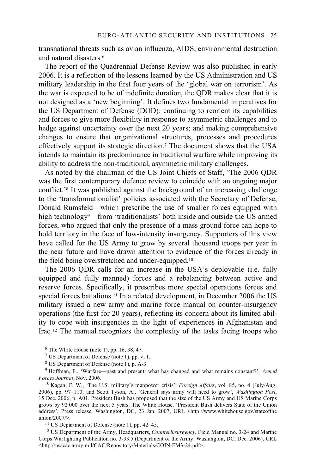transnational threats such as avian influenza, AIDS, environmental destruction and natural disasters.6

The report of the Quadrennial Defense Review was also published in early 2006. It is a reflection of the lessons learned by the US Administration and US military leadership in the first four years of the 'global war on terrorism'. As the war is expected to be of indefinite duration, the QDR makes clear that it is not designed as a 'new beginning'. It defines two fundamental imperatives for the US Department of Defense (DOD): continuing to reorient its capabilities and forces to give more flexibility in response to asymmetric challenges and to hedge against uncertainty over the next 20 years; and making comprehensive changes to ensure that organizational structures, processes and procedures effectively support its strategic direction.7 The document shows that the USA intends to maintain its predominance in traditional warfare while improving its ability to address the non-traditional, asymmetric military challenges.

As noted by the chairman of the US Joint Chiefs of Staff, 'The 2006 QDR was the first contemporary defence review to coincide with an ongoing major conflict.'8 It was published against the background of an increasing challenge to the 'transformationalist' policies associated with the Secretary of Defense, Donald Rumsfeld—which prescribe the use of smaller forces equipped with high technology<sup>9</sup>—from 'traditionalists' both inside and outside the US armed forces, who argued that only the presence of a mass ground force can hope to hold territory in the face of low-intensity insurgency. Supporters of this view have called for the US Army to grow by several thousand troops per year in the near future and have drawn attention to evidence of the forces already in the field being overstretched and under-equipped.10

The 2006 QDR calls for an increase in the USA's deployable (i.e. fully equipped and fully manned) forces and a rebalancing between active and reserve forces. Specifically, it prescribes more special operations forces and special forces battalions.<sup>11</sup> In a related development, in December 2006 the US military issued a new army and marine force manual on counter-insurgency operations (the first for 20 years), reflecting its concern about its limited ability to cope with insurgencies in the light of experiences in Afghanistan and Iraq.12 The manual recognizes the complexity of the tasks facing troops who

 $6$  The White House (note 1), pp. 16, 38, 47.

<sup>7</sup> US Department of Defense (note 1), pp. v, 1.

8 US Department of Defense (note 1), p. A-3.

9 Hoffman, F., 'Warfare—past and present: what has changed and what remains constant?', *Armed* 

<sup>10</sup> Kagan, F. W., 'The U.S. military's manpower crisis', *Foreign Affairs*, vol. 85, no. 4 (July/Aug. 2006), pp. 97–110; and Scott Tyson, A., 'General says army will need to grow', *Washington Post*, 15 Dec. 2006, p. A01. President Bush has proposed that the size of the US Army and US Marine Corps grows by 92 000 over the next 5 years. The White House, 'President Bush delivers State of the Union address', Press release, Washington, DC, 23 Jan. 2007, URL <http://www.whitehouse.gov/stateofthe union/2007/>.<br><sup>11</sup> US Department of Defense (note 1), pp. 42–45.

12 US Department of the Army, Headquarters, *Counterinsurgency*, Field Manual no. 3-24 and Marine Corps Warfighting Publication no. 3-33.5 (Department of the Army: Washington, DC, Dec. 2006), URL <http://usacac.army.mil/CAC/Repository/Materials/COIN-FM3-24.pdf>.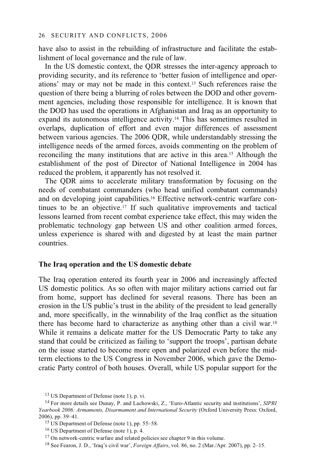have also to assist in the rebuilding of infrastructure and facilitate the establishment of local governance and the rule of law.

In the US domestic context, the QDR stresses the inter-agency approach to providing security, and its reference to 'better fusion of intelligence and operations' may or may not be made in this context.13 Such references raise the question of there being a blurring of roles between the DOD and other government agencies, including those responsible for intelligence. It is known that the DOD has used the operations in Afghanistan and Iraq as an opportunity to expand its autonomous intelligence activity.14 This has sometimes resulted in overlaps, duplication of effort and even major differences of assessment between various agencies. The 2006 QDR, while understandably stressing the intelligence needs of the armed forces, avoids commenting on the problem of reconciling the many institutions that are active in this area.15 Although the establishment of the post of Director of National Intelligence in 2004 has reduced the problem, it apparently has not resolved it.

The QDR aims to accelerate military transformation by focusing on the needs of combatant commanders (who head unified combatant commands) and on developing joint capabilities.16 Effective network-centric warfare continues to be an objective.17 If such qualitative improvements and tactical lessons learned from recent combat experience take effect, this may widen the problematic technology gap between US and other coalition armed forces, unless experience is shared with and digested by at least the main partner countries.

#### **The Iraq operation and the US domestic debate**

The Iraq operation entered its fourth year in 2006 and increasingly affected US domestic politics. As so often with major military actions carried out far from home, support has declined for several reasons. There has been an erosion in the US public's trust in the ability of the president to lead generally and, more specifically, in the winnability of the Iraq conflict as the situation there has become hard to characterize as anything other than a civil war.18 While it remains a delicate matter for the US Democratic Party to take any stand that could be criticized as failing to 'support the troops', partisan debate on the issue started to become more open and polarized even before the midterm elections to the US Congress in November 2006, which gave the Democratic Party control of both houses. Overall, while US popular support for the

<sup>13</sup> US Department of Defense (note 1), p. vi.

<sup>14</sup> For more details see Dunay, P. and Lachowski, Z., 'Euro-Atlantic security and institutions', *SIPRI Yearbook 2006: Armaments, Disarmament and International Security* (Oxford University Press: Oxford, 2006), pp. 39–41.<br><sup>15</sup> US Department of Defense (note 1), pp. 55–58.

<sup>16</sup> US Department of Defense (note 1), p. 4.

<sup>&</sup>lt;sup>17</sup> On network-centric warfare and related policies see chapter 9 in this volume.

<sup>18</sup> See Fearon, J. D., 'Iraq's civil war', *Foreign Affairs*, vol. 86, no. 2 (Mar./Apr. 2007), pp. 2–15.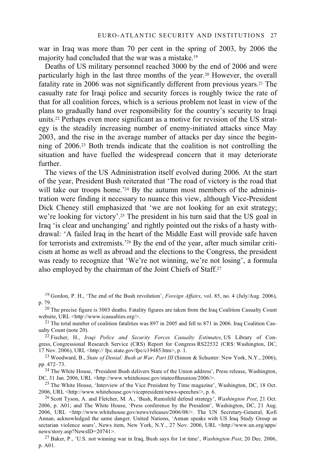war in Iraq was more than 70 per cent in the spring of 2003, by 2006 the majority had concluded that the war was a mistake.19

Deaths of US military personnel reached 3000 by the end of 2006 and were particularly high in the last three months of the year.20 However, the overall fatality rate in 2006 was not significantly different from previous years.<sup>21</sup> The casualty rate for Iraqi police and security forces is roughly twice the rate of that for all coalition forces, which is a serious problem not least in view of the plans to gradually hand over responsibility for the country's security to Iraqi units.22 Perhaps even more significant as a motive for revision of the US strategy is the steadily increasing number of enemy-initiated attacks since May 2003, and the rise in the average number of attacks per day since the beginning of 2006.23 Both trends indicate that the coalition is not controlling the situation and have fuelled the widespread concern that it may deteriorate further.

The views of the US Administration itself evolved during 2006. At the start of the year, President Bush reiterated that 'The road of victory is the road that will take our troops home.<sup>'24</sup> By the autumn most members of the administration were finding it necessary to nuance this view, although Vice-President Dick Cheney still emphasized that 'we are not looking for an exit strategy; we're looking for victory'.<sup>25</sup> The president in his turn said that the US goal in Iraq 'is clear and unchanging' and rightly pointed out the risks of a hasty withdrawal: 'A failed Iraq in the heart of the Middle East will provide safe haven for terrorists and extremists.'26 By the end of the year, after much similar criticism at home as well as abroad and the elections to the Congress, the president was ready to recognize that 'We're not winning, we're not losing', a formula also employed by the chairman of the Joint Chiefs of Staff.27

19 Gordon, P. H., 'The end of the Bush revolution', *Foreign Affairs*, vol. 85, no. 4 (July/Aug. 2006), p. 79.<br><sup>20</sup> The precise figure is 3003 deaths. Fatality figures are taken from the Iraq Coalition Casualty Count

website, URL <http://www.icasualties.org/>.<br>
<sup>21</sup> The total number of coalition fatalities was 897 in 2005 and fell to 871 in 2006. Iraq Coalition Cas-<br>
ualty Count (note 20).

<sup>22</sup> Fischer, H., *Iraqi Police and Security Forces Casualty Estimates*, US Library of Congress, Congressional Research Service (CRS) Report for Congress RS22532 (CRS: Washington, DC, 17 Nov. 2006), URL <http:// fpc.state.gov/fpc/c19485.htm>, p. 1.

<sup>23</sup> Woodward, B., *State of Denial: Bush at War, Part III* (Simon & Schuster: New York, N.Y., 2006), pp. 472–73.

<sup>24</sup> The White House, 'President Bush delivers State of the Union address', Press release, Washington, DC, 31 Jan. 2006, URL <http://www.whitehouse.gov/stateoftheunion/2006/>.

<sup>25</sup> The White House, 'Interview of the Vice President by Time magazine', Washington, DC, 18 Oct. 2006, URL <http://www.whitehouse.gov/vicepresident/news-speeches/ $>$ , p. 6.

<sup>26</sup> Scott Tyson, A. and Fletcher, M. A., 'Bush, Rumsfeld defend strategy', *Washington Post*, 21 Oct. 2006, p. A01; and The White House, 'Press conference by the President', Washington, DC, 21 Aug. 2006, URL <http://www.whitehouse.gov/news/releases/2006/08/>. The UN Secretary-General, Kofi Annan, acknowledged the same danger. United Nations, 'Annan speaks with US Iraq Study Group as sectarian violence soars', News item, New York, N.Y., 27 Nov. 2006, URL <http://www.un.org/apps/<br>news/story.asp?NewsID=20741>.

<sup>27</sup> Baker, P., 'U.S. not winning war in Iraq, Bush says for 1st time', *Washington Post*, 20 Dec. 2006, p. A01.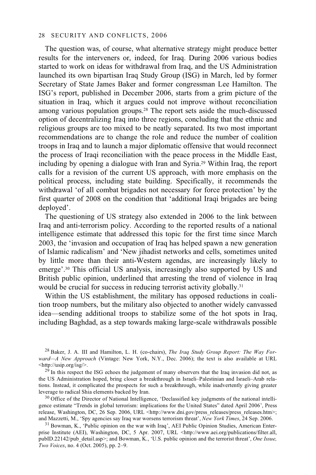The question was, of course, what alternative strategy might produce better results for the interveners or, indeed, for Iraq. During 2006 various bodies started to work on ideas for withdrawal from Iraq, and the US Administration launched its own bipartisan Iraq Study Group (ISG) in March, led by former Secretary of State James Baker and former congressman Lee Hamilton. The ISG's report, published in December 2006, starts from a grim picture of the situation in Iraq, which it argues could not improve without reconciliation among various population groups.28 The report sets aside the much-discussed option of decentralizing Iraq into three regions, concluding that the ethnic and religious groups are too mixed to be neatly separated. Its two most important recommendations are to change the role and reduce the number of coalition troops in Iraq and to launch a major diplomatic offensive that would reconnect the process of Iraqi reconciliation with the peace process in the Middle East, including by opening a dialogue with Iran and Syria.29 Within Iraq, the report calls for a revision of the current US approach, with more emphasis on the political process, including state building. Specifically, it recommends the withdrawal 'of all combat brigades not necessary for force protection' by the first quarter of 2008 on the condition that 'additional Iraqi brigades are being deployed'.

The questioning of US strategy also extended in 2006 to the link between Iraq and anti-terrorism policy. According to the reported results of a national intelligence estimate that addressed this topic for the first time since March 2003, the 'invasion and occupation of Iraq has helped spawn a new generation of Islamic radicalism' and 'New jihadist networks and cells, sometimes united by little more than their anti-Western agendas, are increasingly likely to emerge'.30 This official US analysis, increasingly also supported by US and British public opinion, underlined that arresting the trend of violence in Iraq would be crucial for success in reducing terrorist activity globally.<sup>31</sup>

Within the US establishment, the military has opposed reductions in coalition troop numbers, but the military also objected to another widely canvassed idea—sending additional troops to stabilize some of the hot spots in Iraq, including Baghdad, as a step towards making large-scale withdrawals possible

28 Baker, J. A. III and Hamilton, L. H. (co-chairs), *The Iraq Study Group Report: The Way Forward—A New Approach* (Vintage: New York, N.Y., Dec. 2006); the text is also available at URL <http://usip.org/isg/>.

 $29$  In this respect the ISG echoes the judgement of many observers that the Iraq invasion did not, as the US Administration hoped, bring closer a breakthrough in Israeli–Palestinian and Israeli–Arab relations. Instead, it complicated the prospects for such a breakthrough, while inadvertently giving greater leverage to radical Shia elements backed by Iran.

 $\frac{30}{10}$  Office of the Director of National Intelligence, 'Declassified key judgments of the national intelligence estimate "Trends in global terrorism: implications for the United States" dated April 2006', Press release, Washington, DC, 26 Sep. 2006, URL <http://www.dni.gov/press\_releases/press\_releases.htm>; and Mazzetti, M., 'Spy agencies say Iraq war worsens terrorism threat', New York Times, 24 Sep. 2006.

<sup>31</sup> Bowman, K., 'Public opinion on the war with Iraq', AEI Public Opinion Studies, American Enterprise Institute (AEI), Washington, DC, 5 Apr. 2007, URL <http://www.aei.org/publications/filter.all, pubID.22142/pub\_detail.asp>; and Bowman, K., 'U.S. public opinion and the terrorist threat', *One Issue*, *Two Voices*, no. 4 (Oct. 2005), pp. 2–9.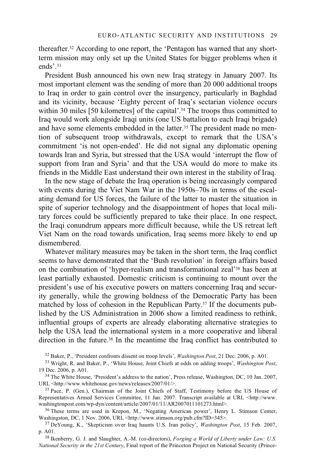thereafter.32 According to one report, the 'Pentagon has warned that any shortterm mission may only set up the United States for bigger problems when it ends'.33

President Bush announced his own new Iraq strategy in January 2007. Its most important element was the sending of more than 20 000 additional troops to Iraq in order to gain control over the insurgency, particularly in Baghdad and its vicinity, because 'Eighty percent of Iraq's sectarian violence occurs within 30 miles [50 kilometres] of the capital'.<sup>34</sup> The troops thus committed to Iraq would work alongside Iraqi units (one US battalion to each Iraqi brigade) and have some elements embedded in the latter.<sup>35</sup> The president made no mention of subsequent troop withdrawals, except to remark that the USA's commitment 'is not open-ended'. He did not signal any diplomatic opening towards Iran and Syria, but stressed that the USA would 'interrupt the flow of support from Iran and Syria' and that the USA would do more to make its friends in the Middle East understand their own interest in the stability of Iraq.

In the new stage of debate the Iraq operation is being increasingly compared with events during the Viet Nam War in the 1950s–70s in terms of the escalating demand for US forces, the failure of the latter to master the situation in spite of superior technology and the disappointment of hopes that local military forces could be sufficiently prepared to take their place. In one respect, the Iraqi conundrum appears more difficult because, while the US retreat left Viet Nam on the road towards unification, Iraq seems more likely to end up dismembered.

Whatever military measures may be taken in the short term, the Iraq conflict seems to have demonstrated that the 'Bush revolution' in foreign affairs based on the combination of 'hyper-realism and transformational zeal'36 has been at least partially exhausted. Domestic criticism is continuing to mount over the president's use of his executive powers on matters concerning Iraq and security generally, while the growing boldness of the Democratic Party has been matched by loss of cohesion in the Republican Party.37 If the documents published by the US Administration in 2006 show a limited readiness to rethink, influential groups of experts are already elaborating alternative strategies to help the USA lead the international system in a more cooperative and liberal direction in the future.<sup>38</sup> In the meantime the Iraq conflict has contributed to

<sup>32</sup> Baker, P., 'President confronts dissent on troop levels', *Washington Post*, 21 Dec. 2006, p. A01.<br><sup>33</sup> Wright, R. and Baker, P., 'White House, Joint Chiefs at odds on adding troops', *Washington Post*, 19 Dec. 2006,

<sup>34</sup> The White House, 'President's address to the nation', Press release, Washington, DC, 10 Jan. 2007, URL <http://www.whitehouse.gov/news/releases/2007/01/>.<br><sup>35</sup> Pace, P. (Gen.), Chairman of the Joint Chiefs of Staff, Testimony before the US House of

Representatives Armed Services Committee, 11 Jan. 2007. Transcript available at URL <http://www.<br>washingtonpost.com/wp-dyn/content/article/2007/01/11/AR2007011101273.html>.

<sup>36</sup> These terms are used in Krepon, M., 'Negating American power', Henry L. Stimson Center, Washingston, DC, 1 Nov. 2006, URL <http://www.stimson.org/pub.cfm?ID=345>.

<sup>37</sup> DeYoung, K., 'Skepticism over Iraq haunts U.S. Iran policy', *Washington Post*, 15 Feb. 2007, p. A01. 38 Ikenberry, G. J. and Slaughter, A.-M. (co-directors), *Forging a World of Liberty under Law: U.S.* 

*National Security in the 21st Century*, Final report of the Princeton Project on National Security (Prince-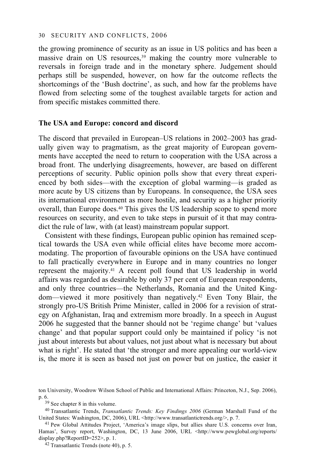the growing prominence of security as an issue in US politics and has been a massive drain on US resources,<sup>39</sup> making the country more vulnerable to reversals in foreign trade and in the monetary sphere. Judgement should perhaps still be suspended, however, on how far the outcome reflects the shortcomings of the 'Bush doctrine', as such, and how far the problems have flowed from selecting some of the toughest available targets for action and from specific mistakes committed there.

#### **The USA and Europe: concord and discord**

The discord that prevailed in European–US relations in 2002–2003 has gradually given way to pragmatism, as the great majority of European governments have accepted the need to return to cooperation with the USA across a broad front. The underlying disagreements, however, are based on different perceptions of security. Public opinion polls show that every threat experienced by both sides—with the exception of global warming—is graded as more acute by US citizens than by Europeans. In consequence, the USA sees its international environment as more hostile, and security as a higher priority overall, than Europe does.<sup>40</sup> This gives the US leadership scope to spend more resources on security, and even to take steps in pursuit of it that may contradict the rule of law, with (at least) mainstream popular support.

Consistent with these findings. European public opinion has remained sceptical towards the USA even while official elites have become more accommodating. The proportion of favourable opinions on the USA have continued to fall practically everywhere in Europe and in many countries no longer represent the majority.41 A recent poll found that US leadership in world affairs was regarded as desirable by only 37 per cent of European respondents, and only three countries—the Netherlands, Romania and the United Kingdom—viewed it more positively than negatively.42 Even Tony Blair, the strongly pro-US British Prime Minister, called in 2006 for a revision of strategy on Afghanistan, Iraq and extremism more broadly. In a speech in August 2006 he suggested that the banner should not be 'regime change' but 'values change' and that popular support could only be maintained if policy 'is not just about interests but about values, not just about what is necessary but about what is right'. He stated that 'the stronger and more appealing our world-view is, the more it is seen as based not just on power but on justice, the easier it

ton University, Woodrow Wilson School of Public and International Affairs: Princeton, N.J., Sep. 2006), p. 6.<br><sup>39</sup> See chapter 8 in this volume.

<sup>&</sup>lt;sup>40</sup> Transatlantic Trends, *Transatlantic Trends: Key Findings 2006* (German Marshall Fund of the United States: Washington, DC, 2006), URL <http://www.transatlantictrends.org/>, p. 7.

<sup>&</sup>lt;sup>41</sup> Pew Global Attitudes Project, 'America's image slips, but allies share U.S. concerns over Iran, Hamas', Survey report, Washington, DC, 13 June 2006, URL <http://www.pewglobal.org/reports/<br>display.php?ReportID=252>, p. 1.

<sup>&</sup>lt;sup>42</sup> Transatlantic Trends (note 40), p. 5.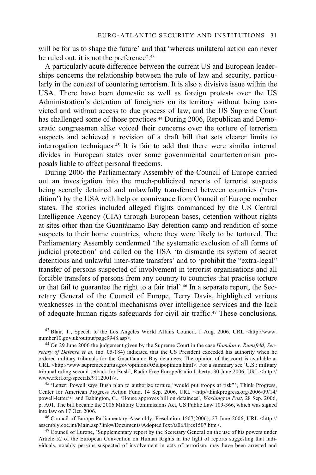will be for us to shape the future' and that 'whereas unilateral action can never be ruled out, it is not the preference'.43

A particularly acute difference between the current US and European leaderships concerns the relationship between the rule of law and security, particularly in the context of countering terrorism. It is also a divisive issue within the USA. There have been domestic as well as foreign protests over the US Administration's detention of foreigners on its territory without being convicted and without access to due process of law, and the US Supreme Court has challenged some of those practices.<sup>44</sup> During 2006, Republican and Democratic congressmen alike voiced their concerns over the torture of terrorism suspects and achieved a revision of a draft bill that sets clearer limits to interrogation techniques.45 It is fair to add that there were similar internal divides in European states over some governmental counterterrorism proposals liable to affect personal freedoms.

During 2006 the Parliamentary Assembly of the Council of Europe carried out an investigation into the much-publicized reports of terrorist suspects being secretly detained and unlawfully transferred between countries ('rendition') by the USA with help or connivance from Council of Europe member states. The stories included alleged flights commanded by the US Central Intelligence Agency (CIA) through European bases, detention without rights at sites other than the Guantánamo Bay detention camp and rendition of some suspects to their home countries, where they were likely to be tortured. The Parliamentary Assembly condemned 'the systematic exclusion of all forms of judicial protection' and called on the USA 'to dismantle its system of secret detentions and unlawful inter-state transfers' and to 'prohibit the "extra-legal" transfer of persons suspected of involvement in terrorist organisations and all forcible transfers of persons from any country to countries that practise torture or that fail to guarantee the right to a fair trial'.46 In a separate report, the Secretary General of the Council of Europe, Terry Davis, highlighted various weaknesses in the control mechanisms over intelligence services and the lack of adequate human rights safeguards for civil air traffic.47 These conclusions,

<sup>43</sup> Blair, T., Speech to the Los Angeles World Affairs Council, 1 Aug. 2006, URL <http://www.number10.gov.uk/output/page9948.asp>.

<sup>44</sup> On 29 June 2006 the judgement given by the Supreme Court in the case *Hamdan v. Rumsfeld, Secretary of Defense et al.* (no. 05-184) indicated that the US President exceeded his authority when he ordered military tribunals for the Guantánamo Bay detainees. The opinion of the court is available at URL <http://www.supremecourtus.gov/opinions/05slipopinion.html>. For a summary see 'U.S.: military tribunal ruling second setback for Bush', Radio Free Europe/Radio Liberty, 30 June 2006, URL <http://www.rferl.org/specials/9112001/>.

<sup>45</sup> 'Letter: Powell says Bush plan to authorize torture "would put troops at risk"', Think Progress, Center for American Progress Action Fund, 14 Sep. 2006, URL <http//thinkprogress.org/2006/09/14/ powell-letter/>; and Babington, C., 'House approves bill on detainees', *Washington Post*, 28 Sep. 2006, p. A01. The bill became the 2006 Military Commissions Act, US Public Law 109-366, which was signed

into law on 17 Oct. 2006.<br><sup>46</sup> Council of Europe Parliamentary Assembly, Resolution 1507(2006), 27 June 2006, URL <http://<br>assembly.coe.int/Main.asp?link=/Documents/AdoptedText/ta06/Eres1507.htm>.

<sup>47</sup> Council of Europe, 'Supplementary report by the Secretary General on the use of his powers under Article 52 of the European Convention on Human Rights in the light of reports suggesting that individuals, notably persons suspected of involvement in acts of terrorism, may have been arrested and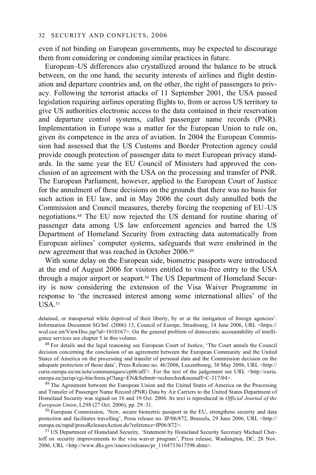even if not binding on European governments, may be expected to discourage them from considering or condoning similar practices in future.

European–US differences also crystallized around the balance to be struck between, on the one hand, the security interests of airlines and flight destination and departure countries and, on the other, the right of passengers to privacy. Following the terrorist attacks of 11 September 2001, the USA passed legislation requiring airlines operating flights to, from or across US territory to give US authorities electronic access to the data contained in their reservation and departure control systems, called passenger name records (PNR). Implementation in Europe was a matter for the European Union to rule on, given its competence in the area of aviation. In 2004 the European Commission had assessed that the US Customs and Border Protection agency could provide enough protection of passenger data to meet European privacy standards. In the same year the EU Council of Ministers had approved the conclusion of an agreement with the USA on the processing and transfer of PNR. The European Parliament, however, applied to the European Court of Justice for the annulment of these decisions on the grounds that there was no basis for such action in EU law, and in May 2006 the court duly annulled both the Commission and Council measures, thereby forcing the reopening of EU–US negotiations.48 The EU now rejected the US demand for routine sharing of passenger data among US law enforcement agencies and barred the US Department of Homeland Security from extracting data automatically from European airlines' computer systems, safeguards that were enshrined in the new agreement that was reached in October 2006.49

With some delay on the European side, biometric passports were introduced at the end of August 2006 for visitors entitled to visa-free entry to the USA through a major airport or seaport.<sup>50</sup> The US Department of Homeland Security is now considering the extension of the Visa Waiver Programme in response to 'the increased interest among some international allies' of the  $I$ <sub>ISA</sub> $51$ 

detained, or transported while deprived of their liberty, by or at the instigation of foreign agencies'. Information Document SG/Inf. (2006) 13, Council of Europe, Strasbourg, 14 June 2006, URL <https:// wcd.coe.int/ViewDoc.jsp?id=1010167>. On the general problem of democratic accountability of intelligence services see chapter 5 in this volume.

<sup>48</sup> For details and the legal reasoning see European Court of Justice, 'The Court annuls the Council decision concerning the conclusion of an agreement between the European Community and the United States of America on the processing and transfer of personal data and the Commission decision on the adequate protection of those data', Press Release no. 46/2006, Luxembourg, 30 May 2006, URL <http:// curia.europa.eu/en/actu/communiques/cp06/aff/>. For the text of the judgement see URL <http://curia.europa.eu/jurisp/cgi-bin/form.pl?lang=EN&Submit=rechercher&numaff=C-317/04>.

<sup>49</sup> The Agreement between the European Union and the United States of America on the Processing and Transfer of Passenger Name Record (PNR) Data by Air Carriers to the United States Department of Homeland Security was signed on 16 and 19 Oct. 2006. Its text is reproduced in *Official Journal of the* 

<sup>50</sup> European Commission, 'New, secure biometric passport in the EU, strengthens security and data protection and facilitates travelling', Press release no. IP/06/872, Brussels, 29 June 2006, URL <http:// europa.eu/rapid/pressReleasesAction.do?reference=IP06/872>.

<sup>51</sup> US Department of Homeland Security, 'Statement by Homeland Security Secretary Michael Chertoff on security improvements to the visa waiver program', Press release, Washington, DC, 28 Nov. 2006, URL <http://www.dhs.gov/xnews/releases/pr\_1164753617598.shtm>.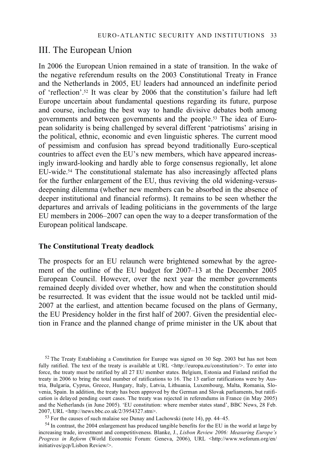# III. The European Union

In 2006 the European Union remained in a state of transition. In the wake of the negative referendum results on the 2003 Constitutional Treaty in France and the Netherlands in 2005, EU leaders had announced an indefinite period of 'reflection'.52 It was clear by 2006 that the constitution's failure had left Europe uncertain about fundamental questions regarding its future, purpose and course, including the best way to handle divisive debates both among governments and between governments and the people.53 The idea of European solidarity is being challenged by several different 'patriotisms' arising in the political, ethnic, economic and even linguistic spheres. The current mood of pessimism and confusion has spread beyond traditionally Euro-sceptical countries to affect even the EU's new members, which have appeared increasingly inward-looking and hardly able to forge consensus regionally, let alone EU-wide.54 The constitutional stalemate has also increasingly affected plans for the further enlargement of the EU, thus reviving the old widening-versusdeepening dilemma (whether new members can be absorbed in the absence of deeper institutional and financial reforms). It remains to be seen whether the departures and arrivals of leading politicians in the governments of the large EU members in 2006–2007 can open the way to a deeper transformation of the European political landscape.

### **The Constitutional Treaty deadlock**

The prospects for an EU relaunch were brightened somewhat by the agreement of the outline of the EU budget for 2007–13 at the December 2005 European Council. However, over the next year the member governments remained deeply divided over whether, how and when the constitution should be resurrected. It was evident that the issue would not be tackled until mid-2007 at the earliest, and attention became focused on the plans of Germany, the EU Presidency holder in the first half of 2007. Given the presidential election in France and the planned change of prime minister in the UK about that

<sup>52</sup> The Treaty Establishing a Constitution for Europe was signed on 30 Sep. 2003 but has not been fully ratified. The text of the treaty is available at URL  $\lt$ http://europa.eu/constitution/ $\gt$ . To enter into force, the treaty must be ratified by all 27 EU member states. Belgium, Estonia and Finland ratified the treaty in 2006 to bring the total number of ratifications to 16. The 13 earlier ratifications were by Austria, Bulgaria, Cyprus, Greece, Hungary, Italy, Latvia, Lithuania, Luxembourg, Malta, Romania, Slovenia, Spain. In addition, the treaty has been approved by the German and Slovak parliaments, but ratification is delayed pending court cases. The treaty was rejected in referendums in France (in May 2005) and the Netherlands (in June 2005). 'EU constitution: where member states stand', BBC News, 28 Feb. 2007, URL <http://news.bbc.co.uk/2/3954327.stm>.<br><sup>53</sup> For the causes of such malaise see Dunay and Lachowski (note 14), pp. 44–45.

54 In contrast, the 2004 enlargement has produced tangible benefits for the EU in the world at large by increasing trade, investment and competitiveness. Blanke, J., *Lisbon Review 2006: Measuring Europe's Progress in Reform* (World Economic Forum: Geneva, 2006), URL <http://www.weforum.org/en/ initiatives/gcp/Lisbon Review/>.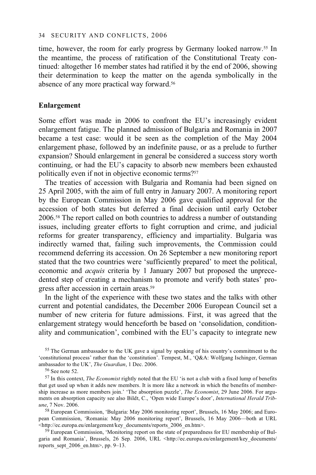time, however, the room for early progress by Germany looked narrow.<sup>55</sup> In the meantime, the process of ratification of the Constitutional Treaty continued: altogether 16 member states had ratified it by the end of 2006, showing their determination to keep the matter on the agenda symbolically in the absence of any more practical way forward.<sup>56</sup>

#### **Enlargement**

Some effort was made in 2006 to confront the EU's increasingly evident enlargement fatigue. The planned admission of Bulgaria and Romania in 2007 became a test case: would it be seen as the completion of the May 2004 enlargement phase, followed by an indefinite pause, or as a prelude to further expansion? Should enlargement in general be considered a success story worth continuing, or had the EU's capacity to absorb new members been exhausted politically even if not in objective economic terms?<sup>57</sup>

The treaties of accession with Bulgaria and Romania had been signed on 25 April 2005, with the aim of full entry in January 2007. A monitoring report by the European Commission in May 2006 gave qualified approval for the accession of both states but deferred a final decision until early October 2006.58 The report called on both countries to address a number of outstanding issues, including greater efforts to fight corruption and crime, and judicial reforms for greater transparency, efficiency and impartiality. Bulgaria was indirectly warned that, failing such improvements, the Commission could recommend deferring its accession. On 26 September a new monitoring report stated that the two countries were 'sufficiently prepared' to meet the political, economic and *acquis* criteria by 1 January 2007 but proposed the unprecedented step of creating a mechanism to promote and verify both states' progress after accession in certain areas.59

In the light of the experience with these two states and the talks with other current and potential candidates, the December 2006 European Council set a number of new criteria for future admissions. First, it was agreed that the enlargement strategy would henceforth be based on 'consolidation, conditionality and communication', combined with the EU's capacity to integrate new

58 European Commission, 'Bulgaria: May 2006 monitoring report', Brussels, 16 May 2006; and European Commission, 'Romania: May 2006 monitoring report', Brussels, 16 May 2006—both at URL<br><http://ec.europa.eu/enlargement/key documents/reports 2006 en.htm>.

59 European Commission, 'Monitoring report on the state of preparedness for EU membership of Bulgaria and Romania', Brussels, 26 Sep. 2006, URL <http://ec.europa.eu/enlargement/key\_documents/ reports sept  $2006$  en.htm>, pp. 9–13.

<sup>&</sup>lt;sup>55</sup> The German ambassador to the UK gave a signal by speaking of his country's commitment to the 'constitutional process' rather than the 'constitution'. Tempest, M., 'Q&A: Wolfgang Ischinger, German ambassador to the UK', *The Guardian*, 1 Dec. 2006. 56 See note 52.

<sup>57</sup> In this context, *The Economist* rightly noted that the EU 'is not a club with a fixed lump of benefits that get used up when it adds new members. It is more like a network in which the benefits of membership increase as more members join.' 'The absorption puzzle', *The Economist*, 29 June 2006. For arguments on absorption capacity see also Bildt, C., 'Open wide Europe's door', *International Herald Tribune*, 7 Nov. 2006.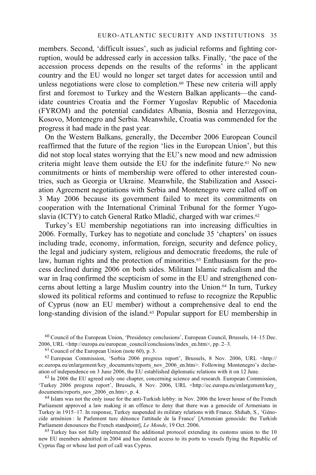members. Second, 'difficult issues', such as judicial reforms and fighting corruption, would be addressed early in accession talks. Finally, 'the pace of the accession process depends on the results of the reforms' in the applicant country and the EU would no longer set target dates for accession until and unless negotiations were close to completion. $60$  These new criteria will apply first and foremost to Turkey and the Western Balkan applicants—the candidate countries Croatia and the Former Yugoslav Republic of Macedonia (FYROM) and the potential candidates Albania, Bosnia and Herzegovina, Kosovo, Montenegro and Serbia. Meanwhile, Croatia was commended for the progress it had made in the past year.

On the Western Balkans, generally, the December 2006 European Council reaffirmed that the future of the region 'lies in the European Union', but this did not stop local states worrying that the EU's new mood and new admission criteria might leave them outside the EU for the indefinite future.61 No new commitments or hints of membership were offered to other interested countries, such as Georgia or Ukraine. Meanwhile, the Stabilization and Association Agreement negotiations with Serbia and Montenegro were called off on 3 May 2006 because its government failed to meet its commitments on cooperation with the International Criminal Tribunal for the former Yugoslavia (ICTY) to catch General Ratko Mladić, charged with war crimes.<sup>62</sup>

Turkey's EU membership negotiations ran into increasing difficulties in 2006. Formally, Turkey has to negotiate and conclude 35 'chapters' on issues including trade, economy, information, foreign, security and defence policy, the legal and judiciary system, religious and democratic freedoms, the rule of law, human rights and the protection of minorities.<sup>63</sup> Enthusiasm for the process declined during 2006 on both sides. Militant Islamic radicalism and the war in Iraq confirmed the scepticism of some in the EU and strengthened concerns about letting a large Muslim country into the Union.64 In turn, Turkey slowed its political reforms and continued to refuse to recognize the Republic of Cyprus (now an EU member) without a comprehensive deal to end the long-standing division of the island.<sup>65</sup> Popular support for EU membership in

 $64$  Islam was not the only issue for the anti-Turkish lobby: in Nov. 2006 the lower house of the French Parliament approved a law making it an offence to deny that there was a genocide of Armenians in Turkey in 1915–17. In response, Turkey suspended its military relations with France. Shihab, S., 'Génocide arménien : le Parlement turc dénonce l'attitude de la France' [Armenian genocide: the Turkish Parliament denounces the French standpoint], Le Monde, 19 Oct. 2006.

<sup>65</sup> Turkey has not fully implemented the additional protocol extending its customs union to the 10 new EU members admitted in 2004 and has denied access to its ports to vessels flying the Republic of Cyprus flag or whose last port of call was Cyprus.

<sup>60</sup> Council of the European Union, 'Presidency conclusions', European Council, Brussels, 14–15 Dec. 2006, URL <http://europa.eu/european\_council/conclusions/index\_en.htm>, pp. 2–3. 61 Council of the European Union (note 60), p. 3.

<sup>62</sup> European Commission, 'Serbia 2006 progress report', Brussels, 8 Nov. 2006, URL <http:// ec.europa.eu/enlargement/key\_documents/reports\_nov\_2006\_en.htm>. Following Montenegro's declaration of independence on 3 June 2006, the EU established diplomatic relations with it on 12 June.

 $63$  In 2006 the EU agreed only one chapter, concerning science and research. European Commission, 'Turkey 2006 progress report', Brussels, 8 Nov. 2006, URL <http://ec.europa.eu/enlargement/key\_documents/reports nov 2006 en.htm>, p. 4.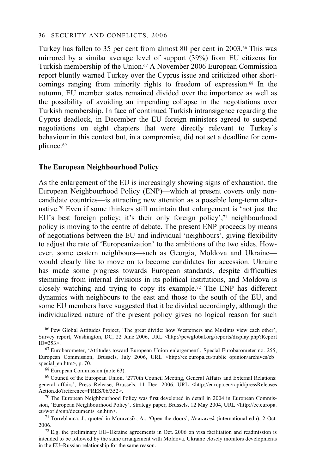Turkey has fallen to 35 per cent from almost 80 per cent in 2003.66 This was mirrored by a similar average level of support (39%) from EU citizens for Turkish membership of the Union.67 A November 2006 European Commission report bluntly warned Turkey over the Cyprus issue and criticized other shortcomings ranging from minority rights to freedom of expression.68 In the autumn, EU member states remained divided over the importance as well as the possibility of avoiding an impending collapse in the negotiations over Turkish membership. In face of continued Turkish intransigence regarding the Cyprus deadlock, in December the EU foreign ministers agreed to suspend negotiations on eight chapters that were directly relevant to Turkey's behaviour in this context but, in a compromise, did not set a deadline for compliance.69

#### **The European Neighbourhood Policy**

As the enlargement of the EU is increasingly showing signs of exhaustion, the European Neighbourhood Policy (ENP)—which at present covers only noncandidate countries—is attracting new attention as a possible long-term alternative.70 Even if some thinkers still maintain that enlargement is 'not just the EU's best foreign policy; it's their only foreign policy',71 neighbourhood policy is moving to the centre of debate. The present ENP proceeds by means of negotiations between the EU and individual 'neighbours', giving flexibility to adjust the rate of 'Europeanization' to the ambitions of the two sides. However, some eastern neighbours—such as Georgia, Moldova and Ukraine would clearly like to move on to become candidates for accession. Ukraine has made some progress towards European standards, despite difficulties stemming from internal divisions in its political institutions, and Moldova is closely watching and trying to copy its example.72 The ENP has different dynamics with neighbours to the east and those to the south of the EU, and some EU members have suggested that it be divided accordingly, although the individualized nature of the present policy gives no logical reason for such

66 Pew Global Attitudes Project, 'The great divide: how Westerners and Muslims view each other', Survey report, Washington, DC, 22 June 2006, URL <http://pewglobal.org/reports/display.php?Report ID=253>. 67 Eurobarometer, 'Attitudes toward European Union enlargement', Special Eurobarometer no. 255,

European Commission, Brussels, July 2006, URL <http://ec.europa.eu/public\_opinion/archives/eb\_special en.htm>, p. 70.

 $68$  European Commission (note 63).

69 Council of the European Union, '2770th Council Meeting, General Affairs and External Relations: general affairs', Press Release, Brussels, 11 Dec. 2006, URL <http://europa.eu/rapid/pressReleases Action.do?reference=PRES/06/352>.<br><sup>70</sup> The European Neighbourhood Policy was first developed in detail in 2004 in European Commis-

sion, 'European Neighbourhood Policy', Strategy paper, Brussels, 12 May 2004, URL <http://ec.europa. eu/world/enp/documents\_en.htm>. 71 Torreblanca, J., quoted in Moravcsik, A., 'Open the doors', *Newsweek* (international edn), 2 Oct.

2006. 72 E.g. the preliminary EU–Ukraine agreements in Oct. 2006 on visa facilitation and readmission is

intended to be followed by the same arrangement with Moldova. Ukraine closely monitors developments in the EU–Russian relationship for the same reason.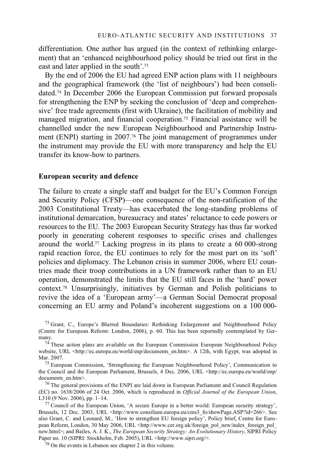differentiation. One author has argued (in the context of rethinking enlargement) that an 'enhanced neighbourhood policy should be tried out first in the east and later applied in the south'.73

By the end of 2006 the EU had agreed ENP action plans with 11 neighbours and the geographical framework (the 'list of neighbours') had been consolidated.74 In December 2006 the European Commission put forward proposals for strengthening the ENP by seeking the conclusion of 'deep and comprehensive' free trade agreements (first with Ukraine), the facilitation of mobility and managed migration, and financial cooperation.75 Financial assistance will be channelled under the new European Neighbourhood and Partnership Instrument (ENPI) starting in 2007.76 The joint management of programmes under the instrument may provide the EU with more transparency and help the EU transfer its know-how to partners.

#### **European security and defence**

The failure to create a single staff and budget for the EU's Common Foreign and Security Policy (CFSP)—one consequence of the non-ratification of the 2003 Constitutional Treaty—has exacerbated the long-standing problems of institutional demarcation, bureaucracy and states' reluctance to cede powers or resources to the EU. The 2003 European Security Strategy has thus far worked poorly in generating coherent responses to specific crises and challenges around the world.77 Lacking progress in its plans to create a 60 000-strong rapid reaction force, the EU continues to rely for the most part on its 'soft' policies and diplomacy. The Lebanon crisis in summer 2006, where EU countries made their troop contributions in a UN framework rather than to an EU operation, demonstrated the limits that the EU still faces in the 'hard' power context.78 Unsurprisingly, initiatives by German and Polish politicians to revive the idea of a 'European army'—a German Social Democrat proposal concerning an EU army and Poland's incoherent suggestions on a 100 000-

<sup>73</sup> Grant, C., Europe's Blurred Boundaries: Rethinking Enlargement and Neighbourhood Policy (Centre for European Reform: London, 2006), p. 60. This has been reportedly contemplated by Germany.<br><sup>74</sup> These action plans are available on the European Commission European Neighbourhood Policy

website, URL <http://ec.europa.eu/world/enp/documents\_en.htm>. A 12th, with Egypt, was adopted in Mar. 2007.<br><sup>75</sup> European Commission, 'Strengthening the European Neighbourhood Policy', Communication to

the Council and the European Parliament, Brussels, 4 Dec. 2006, URL <http://ec.europa.eu/world/enp/ documents en.htm>.

<sup>&</sup>lt;sup>76</sup> The general provisions of the ENPI are laid down in European Parliament and Council Regulation (EC) no. 1638/2006 of 24 Oct. 2006, which is reproduced in *Official Journal of the European Union*,

<sup>&</sup>lt;sup>77</sup> Council of the European Union, 'A secure Europe in a better world: European security strategy', Brussels, 12 Dec. 2003, URL <http://www.consilium.europa.eu/cms3\_fo/showPage.ASP?id=266>. See also Grant, C. and Leonard, M., 'How to strengthen EU foreign policy', Policy brief, Centre for European Reform, London, 30 May 2006, URL <http://www.cer.org.uk/foreign\_pol\_new/index\_foreign\_pol\_ new.html>; and Bailes, A. J. K., *The European Security Strategy: An Evolutionary History*, SIPRI Policy Paper no. 10 (SIPRI: Stockholm, Feb. 2005), URL <http://www.sipri.org/>. 78 On the events in Lebanon see chapter 2 in this volume.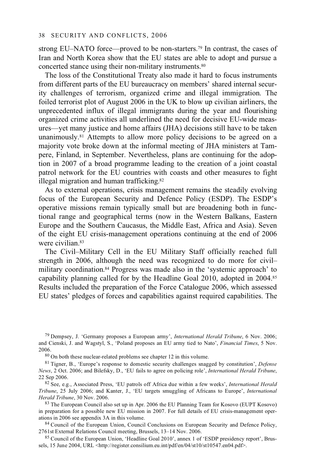strong EU–NATO force—proved to be non-starters.<sup>79</sup> In contrast, the cases of Iran and North Korea show that the EU states are able to adopt and pursue a concerted stance using their non-military instruments.80

The loss of the Constitutional Treaty also made it hard to focus instruments from different parts of the EU bureaucracy on members' shared internal security challenges of terrorism, organized crime and illegal immigration. The foiled terrorist plot of August 2006 in the UK to blow up civilian airliners, the unprecedented influx of illegal immigrants during the year and flourishing organized crime activities all underlined the need for decisive EU-wide measures—yet many justice and home affairs (JHA) decisions still have to be taken unanimously.81 Attempts to allow more policy decisions to be agreed on a majority vote broke down at the informal meeting of JHA ministers at Tampere, Finland, in September. Nevertheless, plans are continuing for the adoption in 2007 of a broad programme leading to the creation of a joint coastal patrol network for the EU countries with coasts and other measures to fight illegal migration and human trafficking.<sup>82</sup>

As to external operations, crisis management remains the steadily evolving focus of the European Security and Defence Policy (ESDP). The ESDP's operative missions remain typically small but are broadening both in functional range and geographical terms (now in the Western Balkans, Eastern Europe and the Southern Caucasus, the Middle East, Africa and Asia). Seven of the eight EU crisis-management operations continuing at the end of 2006 were civilian 83

The Civil–Military Cell in the EU Military Staff officially reached full strength in 2006, although the need was recognized to do more for civil– military coordination.84 Progress was made also in the 'systemic approach' to capability planning called for by the Headline Goal 2010, adopted in 2004.85 Results included the preparation of the Force Catalogue 2006, which assessed EU states' pledges of forces and capabilities against required capabilities. The

in preparation for a possible new EU mission in 2007. For full details of EU crisis-management operations in 2006 see appendix 3A in this volume.<br><sup>84</sup> Council of the European Union, Council Conclusions on European Security and Defence Policy,

2761st External Relations Council meeting, Brussels, 13–14 Nov. 2006.<br><sup>85</sup> Council of the European Union, 'Headline Goal 2010', annex 1 of 'ESDP presidency report', Brus-

sels, 15 June 2004, URL <http://register.consilium.eu.int/pdf/en/04/st10/st10547.en04.pdf>.

<sup>79</sup> Dempsey, J. 'Germany proposes a European army', *International Herald Tribune*, 6 Nov. 2006; and Cienski, J. and Wagstyl, S., 'Poland proposes an EU army tied to Nato', *Financial Times*, 5 Nov. 2006. 80 On both these nuclear-related problems see chapter 12 in this volume.

<sup>81</sup> Tigner, B., 'Europe's response to domestic security challenges snagged by constitution', *Defense News*, 2 Oct. 2006; and Bilefsky, D., 'EU fails to agree on policing role', *International Herald Tribune*, 22 Sep 2006. 82 See, e.g., Associated Press, 'EU patrols off Africa due within a few weeks', *International Herald* 

*Tribune*, 25 July 2006; and Kanter, J., 'EU targets smuggling of Africans to Europe', *International Herald Tribune*, 30 Nov. 2006.<br><sup>83</sup> The European Council also set up in Apr. 2006 the EU Planning Team for Kosovo (EUPT Kosovo)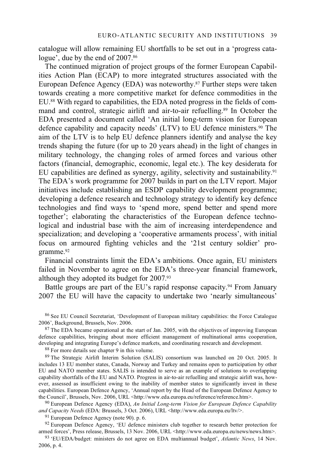catalogue will allow remaining EU shortfalls to be set out in a 'progress catalogue', due by the end of 2007.<sup>86</sup>

The continued migration of project groups of the former European Capabilities Action Plan (ECAP) to more integrated structures associated with the European Defence Agency (EDA) was noteworthy.87 Further steps were taken towards creating a more competitive market for defence commodities in the EU.88 With regard to capabilities, the EDA noted progress in the fields of command and control, strategic airlift and air-to-air refuelling.<sup>89</sup> In October the EDA presented a document called 'An initial long-term vision for European defence capability and capacity needs' (LTV) to EU defence ministers.90 The aim of the LTV is to help EU defence planners identify and analyse the key trends shaping the future (for up to 20 years ahead) in the light of changes in military technology, the changing roles of armed forces and various other factors (financial, demographic, economic, legal etc.). The key desiderata for EU capabilities are defined as synergy, agility, selectivity and sustainability.91 The EDA's work programme for 2007 builds in part on the LTV report. Major initiatives include establishing an ESDP capability development programme; developing a defence research and technology strategy to identify key defence technologies and find ways to 'spend more, spend better and spend more together'; elaborating the characteristics of the European defence technological and industrial base with the aim of increasing interdependence and specialization; and developing a 'cooperative armaments process', with initial focus on armoured fighting vehicles and the '21st century soldier' programme.92

Financial constraints limit the EDA's ambitions. Once again, EU ministers failed in November to agree on the EDA's three-year financial framework, although they adopted its budget for 2007.93

Battle groups are part of the EU's rapid response capacity.<sup>94</sup> From January 2007 the EU will have the capacity to undertake two 'nearly simultaneous'

 $87$  The EDA became operational at the start of Jan. 2005, with the objectives of improving European defence capabilities, bringing about more efficient management of multinational arms cooperation, developing and integrating Europe's defence markets, and coordinating research and development. 88 For more details see chapter 9 in this volume.

89 The Strategic Airlift Interim Solution (SALIS) consortium was launched on 20 Oct. 2005. It includes 13 EU member states, Canada, Norway and Turkey and remains open to participation by other EU and NATO member states. SALIS is intended to serve as an example of solutions to overlapping capability shortfalls of the EU and NATO. Progress in air-to-air refuelling and strategic airlift was, however, assessed as insufficient owing to the inability of member states to significantly invest in these capabilities. European Defence Agency, 'Annual report by the Head of the European Defence Agency to the Council', Brussels, Nov. 2006, URL <http://www.eda.europa.eu/reference/reference.htm>.<br><sup>90</sup> European Defence Agency (EDA), *An Initial Long-term Vision for European Defence Capability* 

*and Capacity Needs* (EDA: Brussels, 3 Oct. 2006), URL <http://www.eda.europa.eu/ltv<sup>/></sup>. <sup>91</sup> European Defence Agency (note 90). p. 6.

 $92$  European Defence Agency, 'EU defence ministers club together to research better protection for armed forces', Press release, Brussels, 13 Nov. 2006, URL <http://www.eda.europa.eu/news/news.htm>.

<sup>93</sup> 'EU/EDA/budget: ministers do not agree on EDA multiannual budget', *Atlantic News*, 14 Nov. 2006, p. 4.

 $86$  See EU Council Secretariat, 'Development of European military capabilities: the Force Catalogue 2006', Background, Brussels, Nov. 2006.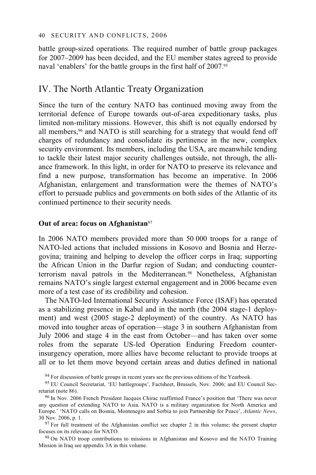battle group-sized operations. The required number of battle group packages for 2007–2009 has been decided, and the EU member states agreed to provide naval 'enablers' for the battle groups in the first half of 2007.95

# IV. The North Atlantic Treaty Organization

Since the turn of the century NATO has continued moving away from the territorial defence of Europe towards out-of-area expeditionary tasks, plus limited non-military missions. However, this shift is not equally endorsed by all members,<sup>96</sup> and NATO is still searching for a strategy that would fend off charges of redundancy and consolidate its pertinence in the new, complex security environment. Its members, including the USA, are meanwhile tending to tackle their latest major security challenges outside, not through, the alliance framework. In this light, in order for NATO to preserve its relevance and find a new purpose, transformation has become an imperative. In 2006 Afghanistan, enlargement and transformation were the themes of NATO's effort to persuade publics and governments on both sides of the Atlantic of its continued pertinence to their security needs.

### **Out of area: focus on Afghanistan**<sup>97</sup>

In 2006 NATO members provided more than 50 000 troops for a range of NATO-led actions that included missions in Kosovo and Bosnia and Herzegovina; training and helping to develop the officer corps in Iraq; supporting the African Union in the Darfur region of Sudan; and conducting counterterrorism naval patrols in the Mediterranean.98 Nonetheless, Afghanistan remains NATO's single largest external engagement and in 2006 became even more of a test case of its credibility and cohesion.

The NATO-led International Security Assistance Force (ISAF) has operated as a stabilizing presence in Kabul and in the north (the 2004 stage-1 deployment) and west (2005 stage-2 deployment) of the country. As NATO has moved into tougher areas of operation—stage 3 in southern Afghanistan from July 2006 and stage 4 in the east from October—and has taken over some roles from the separate US-led Operation Enduring Freedom counterinsurgency operation, more allies have become reluctant to provide troops at all or to let them move beyond certain areas and duties defined in national

<sup>94</sup> For discussion of battle groups in recent years see the previous editions of the Yearbook.

any question of extending NATO to Asia. NATO is a military organization for North America and Europe.' 'NATO calls on Bosnia, Montenegro and Serbia to join Partnership for Peace', *Atlantic News*, 30 Nov. 2006, p. 1.<br><sup>97</sup> For full treatment of the Afghanistan conflict see chapter 2 in this volume; the present chapter

focuses on its relevance for NATO.<br><sup>98</sup> On NATO troop contributions to missions in Afghanistan and Kosovo and the NATO Training

Mission in Iraq see appendix 3A in this volume.

<sup>95</sup> EU Council Secretariat, 'EU battlegroups', Factsheet, Brussels, Nov. 2006; and EU Council Secretariat (note 86).<br><sup>96</sup> In Nov. 2006 French President Jacques Chirac reaffirmed France's position that 'There was never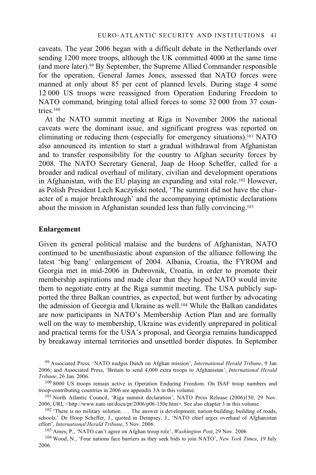caveats. The year 2006 began with a difficult debate in the Netherlands over sending 1200 more troops, although the UK committed 4000 at the same time (and more later).99 By September, the Supreme Allied Commander responsible for the operation, General James Jones, assessed that NATO forces were manned at only about 85 per cent of planned levels. During stage 4 some 12 000 US troops were reassigned from Operation Enduring Freedom to NATO command, bringing total allied forces to some 32 000 from 37 countries.100

At the NATO summit meeting at Riga in November 2006 the national caveats were the dominant issue, and significant progress was reported on eliminating or reducing them (especially for emergency situations).101 NATO also announced its intention to start a gradual withdrawal from Afghanistan and to transfer responsibility for the country to Afghan security forces by 2008. The NATO Secretary General, Jaap de Hoop Scheffer, called for a broader and radical overhaul of military, civilian and development operations in Afghanistan, with the EU playing an expanding and vital role.102 However, as Polish President Lech Kaczyński noted, 'The summit did not have the character of a major breakthrough' and the accompanying optimistic declarations about the mission in Afghanistan sounded less than fully convincing.103

#### **Enlargement**

Given its general political malaise and the burdens of Afghanistan, NATO continued to be unenthusiastic about expansion of the alliance following the latest 'big bang' enlargement of 2004. Albania, Croatia, the FYROM and Georgia met in mid-2006 in Dubrovnik, Croatia, in order to promote their membership aspirations and made clear that they hoped NATO would invite them to negotiate entry at the Riga summit meeting. The USA publicly supported the three Balkan countries, as expected, but went further by advocating the admission of Georgia and Ukraine as well.104 While the Balkan candidates are now participants in NATO's Membership Action Plan and are formally well on the way to membership, Ukraine was evidently unprepared in political and practical terms for the USA's proposal, and Georgia remains handicapped by breakaway internal territories and unsettled border disputes. In September

2006.

<sup>99</sup> Associated Press, 'NATO nudges Dutch on Afghan mission', *International Herald Tribune*, 9 Jan 2006; and Associated Press, 'Britain to send 4,000 extra troops to Afghanistan', *International Herald* 

*Tribune*, 26 Jan. 2006.<br><sup>100</sup> 8000 US troops remain active in Operation Enduring Freedom. On ISAF troop numbers and<br>troop-contributing countries in 2006 see appendix 3A in this volume.

<sup>&</sup>lt;sup>101</sup> North Atlantic Council, 'Riga summit declaration', NATO Press Release (2006)150, 29 Nov. 2006, URL <http://www.nato.int/docu/pr/2006/p06-150e.htm>. See also chapter 3 in this volume.

<sup>&</sup>lt;sup>102</sup> 'There is no military solution . . . The answer is development, nation-building, building of roads, schools.' De Hoop Scheffer, J., quoted in Dempsey, J., 'NATO chief urges overhaul of Afghanistan effort', *International Herald Tribune*, 5 Nov. 2006.<br><sup>103</sup> Ames, P., 'NATO can't agree on Afghan troop role', *Washington Post*, 29 Nov. 2006<br><sup>104</sup> Wood, N., 'Four nations face barriers as they seek bids to join NATO', *N*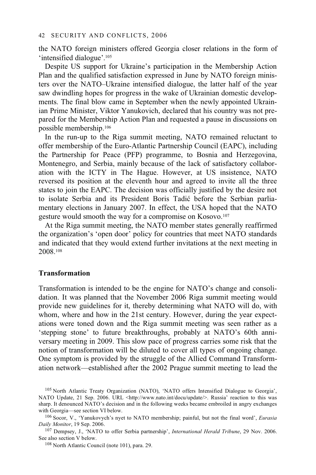the NATO foreign ministers offered Georgia closer relations in the form of 'intensified dialogue'.105

Despite US support for Ukraine's participation in the Membership Action Plan and the qualified satisfaction expressed in June by NATO foreign ministers over the NATO–Ukraine intensified dialogue, the latter half of the year saw dwindling hopes for progress in the wake of Ukrainian domestic developments. The final blow came in September when the newly appointed Ukrainian Prime Minister, Viktor Yanukovich, declared that his country was not prepared for the Membership Action Plan and requested a pause in discussions on possible membership.106

In the run-up to the Riga summit meeting, NATO remained reluctant to offer membership of the Euro-Atlantic Partnership Council (EAPC), including the Partnership for Peace (PFP) programme, to Bosnia and Herzegovina, Montenegro, and Serbia, mainly because of the lack of satisfactory collaboration with the ICTY in The Hague. However, at US insistence, NATO reversed its position at the eleventh hour and agreed to invite all the three states to join the EAPC. The decision was officially justified by the desire not to isolate Serbia and its President Boris Tadić before the Serbian parliamentary elections in January 2007. In effect, the USA hoped that the NATO gesture would smooth the way for a compromise on Kosovo.107

At the Riga summit meeting, the NATO member states generally reaffirmed the organization's 'open door' policy for countries that meet NATO standards and indicated that they would extend further invitations at the next meeting in 2008.108

### **Transformation**

Transformation is intended to be the engine for NATO's change and consolidation. It was planned that the November 2006 Riga summit meeting would provide new guidelines for it, thereby determining what NATO will do, with whom, where and how in the 21st century. However, during the year expectations were toned down and the Riga summit meeting was seen rather as a 'stepping stone' to future breakthroughs, probably at NATO's 60th anniversary meeting in 2009. This slow pace of progress carries some risk that the notion of transformation will be diluted to cover all types of ongoing change. One symptom is provided by the struggle of the Allied Command Transformation network—established after the 2002 Prague summit meeting to lead the

*Daily Monitor*, 19 Sep. 2006.<br><sup>107</sup> Dempsey, J., 'NATO to offer Serbia partnership', *International Herald Tribune*, 29 Nov. 2006.<br>See also section V below.

 $108$  North Atlantic Council (note 101), para. 29.

<sup>105</sup> North Atlantic Treaty Organization (NATO), 'NATO offers Intensified Dialogue to Georgia', NATO Update, 21 Sep. 2006. URL <http://www.nato.int/docu/update/>. Russia' reaction to this was sharp. It denounced NATO's decision and in the following weeks became embroiled in angry exchanges with Georgia—see section VI below.<br><sup>106</sup> Socor, V., 'Yanukovych's nyet to NATO membership; painful, but not the final word', *Eurasia*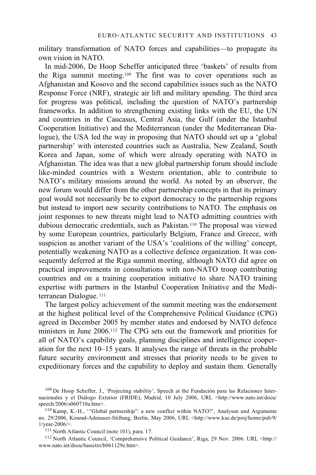military transformation of NATO forces and capabilities—to propagate its own vision in NATO.

In mid-2006, De Hoop Scheffer anticipated three 'baskets' of results from the Riga summit meeting.109 The first was to cover operations such as Afghanistan and Kosovo and the second capabilities issues such as the NATO Response Force (NRF), strategic air lift and military spending. The third area for progress was political, including the question of NATO's partnership frameworks. In addition to strengthening existing links with the EU, the UN and countries in the Caucasus, Central Asia, the Gulf (under the Istanbul Cooperation Initiative) and the Mediterranean (under the Mediterranean Dialogue), the USA led the way in proposing that NATO should set up a 'global partnership' with interested countries such as Australia, New Zealand, South Korea and Japan, some of which were already operating with NATO in Afghanistan. The idea was that a new global partnership forum should include like-minded countries with a Western orientation, able to contribute to NATO's military missions around the world. As noted by an observer, the new forum would differ from the other partnership concepts in that its primary goal would not necessarily be to export democracy to the partnership regions but instead to import new security contributions to NATO. The emphasis on joint responses to new threats might lead to NATO admitting countries with dubious democratic credentials, such as Pakistan.110 The proposal was viewed by some European countries, particularly Belgium, France and Greece, with suspicion as another variant of the USA's 'coalitions of the willing' concept, potentially weakening NATO as a collective defence organization. It was consequently deferred at the Riga summit meeting, although NATO did agree on practical improvements in consultations with non-NATO troop contributing countries and on a training cooperation initiative to share NATO training expertise with partners in the Istanbul Cooperation Initiative and the Mediterranean Dialogue.<sup>111</sup>

The largest policy achievement of the summit meeting was the endorsement at the highest political level of the Comprehensive Political Guidance (CPG) agreed in December 2005 by member states and endorsed by NATO defence ministers in June 2006.112 The CPG sets out the framework and priorities for all of NATO's capability goals, planning disciplines and intelligence cooperation for the next 10–15 years. It analyses the range of threats in the probable future security environment and stresses that priority needs to be given to expeditionary forces and the capability to deploy and sustain them. Generally

www.nato.int/docu/basictxt/b061129e.htm>.

<sup>109</sup> De Hoop Scheffer, J., 'Projecting stability', Speech at the Fundación para las Relaciones Internacionales y el Diálogo Exterior (FRIDE), Madrid, 10 July 2006, URL <http://www.nato.int/docu/

<sup>&</sup>lt;sup>110</sup> Kamp, K.-H., "Global partnership": a new conflict within NATO?', Analysen und Argumente no. 29/2006, Konrad-Adenauer-Stiftung, Berlin, May 2006, URL <http://www.kas.de/proj/home/pub/9/ 1/year-2006/>.<br><sup>111</sup> North Atlantic Council (note 101), para. 17.<br><sup>112</sup> North Atlantic Council, 'Comprehensive Political Guidance', Riga, 29 Nov. 2006. URL <http://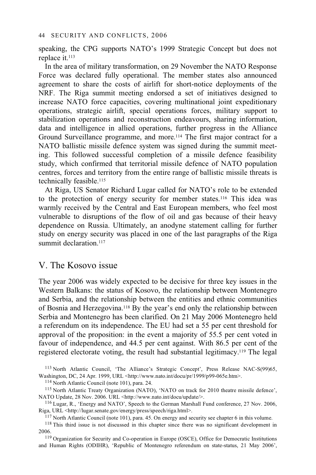speaking, the CPG supports NATO's 1999 Strategic Concept but does not replace it.113

In the area of military transformation, on 29 November the NATO Response Force was declared fully operational. The member states also announced agreement to share the costs of airlift for short-notice deployments of the NRF. The Riga summit meeting endorsed a set of initiatives designed to increase NATO force capacities, covering multinational joint expeditionary operations, strategic airlift, special operations forces, military support to stabilization operations and reconstruction endeavours, sharing information, data and intelligence in allied operations, further progress in the Alliance Ground Surveillance programme, and more.114 The first major contract for a NATO ballistic missile defence system was signed during the summit meeting. This followed successful completion of a missile defence feasibility study, which confirmed that territorial missile defence of NATO population centres, forces and territory from the entire range of ballistic missile threats is technically feasible.115

At Riga, US Senator Richard Lugar called for NATO's role to be extended to the protection of energy security for member states.116 This idea was warmly received by the Central and East European members, who feel most vulnerable to disruptions of the flow of oil and gas because of their heavy dependence on Russia. Ultimately, an anodyne statement calling for further study on energy security was placed in one of the last paragraphs of the Riga summit declaration<sup>117</sup>

### V. The Kosovo issue

The year 2006 was widely expected to be decisive for three key issues in the Western Balkans: the status of Kosovo, the relationship between Montenegro and Serbia, and the relationship between the entities and ethnic communities of Bosnia and Herzegovina.118 By the year's end only the relationship between Serbia and Montenegro has been clarified. On 21 May 2006 Montenegro held a referendum on its independence. The EU had set a 55 per cent threshold for approval of the proposition: in the event a majority of 55.5 per cent voted in favour of independence, and 44.5 per cent against. With 86.5 per cent of the registered electorate voting, the result had substantial legitimacy.119 The legal

<sup>113</sup> North Atlantic Council, 'The Alliance's Strategic Concept', Press Release NAC-S(99)65, Washington, DC, 24 Apr. 1999, URL <http://www.nato.int/docu/pr/1999/p99-065e.htm>.

<sup>114</sup> North Atlantic Council (note 101), para. 24.<br><sup>115</sup> North Atlantic Treaty Organization (NATO), 'NATO on track for 2010 theatre missile defence',

NATO Update, 28 Nov. 2006. URL <http://www.nato.int/docu/update/>.<br>
<sup>116</sup> Lugar, R., 'Energy and NATO', Speech to the German Marshall Fund conference, 27 Nov. 2006,<br>
Riga, URL <http://lugar.senate.gov/energy/press/speech/r

<sup>117</sup> North Atlantic Council (note 101), para. 45. On energy and security see chapter 6 in this volume.<br><sup>118</sup> This third issue is not discussed in this chapter since there was no significant development in

2006.<br><sup>119</sup> Organization for Security and Co-operation in Europe (OSCE), Office for Democratic Institutions

and Human Rights (ODIHR), 'Republic of Montenegro referendum on state-status, 21 May 2006',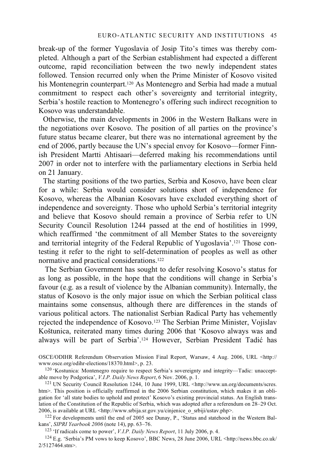break-up of the former Yugoslavia of Josip Tito's times was thereby completed. Although a part of the Serbian establishment had expected a different outcome, rapid reconciliation between the two newly independent states followed. Tension recurred only when the Prime Minister of Kosovo visited his Montenegrin counterpart.120 As Montenegro and Serbia had made a mutual commitment to respect each other's sovereignty and territorial integrity, Serbia's hostile reaction to Montenegro's offering such indirect recognition to Kosovo was understandable.

Otherwise, the main developments in 2006 in the Western Balkans were in the negotiations over Kosovo. The position of all parties on the province's future status became clearer, but there was no international agreement by the end of 2006, partly because the UN's special envoy for Kosovo—former Finnish President Martti Ahtisaari—deferred making his recommendations until 2007 in order not to interfere with the parliamentary elections in Serbia held on 21 January.

The starting positions of the two parties, Serbia and Kosovo, have been clear for a while: Serbia would consider solutions short of independence for Kosovo, whereas the Albanian Kosovars have excluded everything short of independence and sovereignty. Those who uphold Serbia's territorial integrity and believe that Kosovo should remain a province of Serbia refer to UN Security Council Resolution 1244 passed at the end of hostilities in 1999, which reaffirmed 'the commitment of all Member States to the sovereignty and territorial integrity of the Federal Republic of Yugoslavia'.121 Those contesting it refer to the right to self-determination of peoples as well as other normative and practical considerations.122

The Serbian Government has sought to defer resolving Kosovo's status for as long as possible, in the hope that the conditions will change in Serbia's favour (e.g. as a result of violence by the Albanian community). Internally, the status of Kosovo is the only major issue on which the Serbian political class maintains some consensus, although there are differences in the stands of various political actors. The nationalist Serbian Radical Party has vehemently rejected the independence of Kosovo.123 The Serbian Prime Minister, Vojislav Koštunica, reiterated many times during 2006 that 'Kosovo always was and always will be part of Serbia'.<sup>124</sup> However, Serbian President Tadić has

OSCE/ODIHR Referendum Observation Mission Final Report, Warsaw, 4 Aug. 2006, URL <http://

www.osce.org/odihr-elections/18370.html>, p. 23.<br><sup>120</sup> 'Kostunica: Montenegro require to respect Serbia's sovereignty and integrity—Tadic: unaccept-<br>able move by Podgorica', *V.I.P. Daily News Report*, 6 Nov. 2006, p. 1.

<sup>121</sup> UN Security Council Resolution 1244, 10 June 1999, URL <http://www.un.org/documents/scres. htm>. This position is officially reaffirmed in the 2006 Serbian constitution, which makes it an obligation for 'all state bodies to uphold and protect' Kosovo's existing provincial status. An English translation of the Constitution of the Republic of Serbia, which was adopted after a referendum on 28–29 Oct. 2006, is available at URL <http://www.srbija.sr.gov.yu/cinjenice\_o\_srbiji/ustav.php>.

<sup>122</sup> For developments until the end of 2005 see Dunay, P., 'Status and statehood in the Western Bal-<br>kans', *SIPRI Yearbook* 2006 (note 14), pp. 63–76.

<sup>123</sup> 'If radicals come to power', *V.I.P. Daily News Report*, 11 July 2006, p. 4.<br><sup>124</sup> E.g. 'Serbia's PM vows to keep Kosovo', BBC News, 28 June 2006, URL <http://news.bbc.co.uk/ 2/5127464.stm>.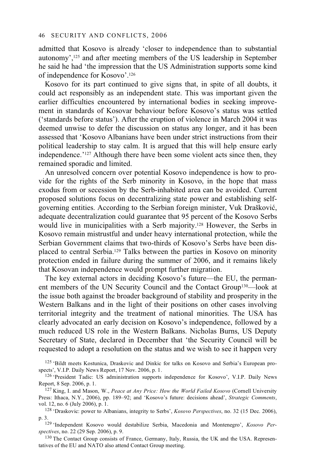admitted that Kosovo is already 'closer to independence than to substantial autonomy',125 and after meeting members of the US leadership in September he said he had 'the impression that the US Administration supports some kind of independence for Kosovo'.126

Kosovo for its part continued to give signs that, in spite of all doubts, it could act responsibly as an independent state. This was important given the earlier difficulties encountered by international bodies in seeking improvement in standards of Kosovar behaviour before Kosovo's status was settled ('standards before status'). After the eruption of violence in March 2004 it was deemed unwise to defer the discussion on status any longer, and it has been assessed that 'Kosovo Albanians have been under strict instructions from their political leadership to stay calm. It is argued that this will help ensure early independence.'127 Although there have been some violent acts since then, they remained sporadic and limited.

An unresolved concern over potential Kosovo independence is how to provide for the rights of the Serb minority in Kosovo, in the hope that mass exodus from or secession by the Serb-inhabited area can be avoided. Current proposed solutions focus on decentralizing state power and establishing selfgoverning entities. According to the Serbian foreign minister, Vuk Drašković, adequate decentralization could guarantee that 95 percent of the Kosovo Serbs would live in municipalities with a Serb majority.128 However, the Serbs in Kosovo remain mistrustful and under heavy international protection, while the Serbian Government claims that two-thirds of Kosovo's Serbs have been displaced to central Serbia.129 Talks between the parties in Kosovo on minority protection ended in failure during the summer of 2006, and it remains likely that Kosovan independence would prompt further migration.

The key external actors in deciding Kosovo's future—the EU, the permanent members of the UN Security Council and the Contact Group130—look at the issue both against the broader background of stability and prosperity in the Western Balkans and in the light of their positions on other cases involving territorial integrity and the treatment of national minorities. The USA has clearly advocated an early decision on Kosovo's independence, followed by a much reduced US role in the Western Balkans. Nicholas Burns, US Deputy Secretary of State, declared in December that 'the Security Council will be requested to adopt a resolution on the status and we wish to see it happen very

- <sup>125</sup> 'Bildt meets Kostunica, Draskovic and Dinkic for talks on Kosovo and Serbia's European pro-<br>spects', V.I.P. Daily News Report, 17 Nov. 2006, p. 1.
- <sup>126</sup> 'President Tadic: US administration supports independence for Kosovo', V.I.P. Daily News Report, 8 Sep. 2006, p. 1.
- <sup>127</sup> King, I. and Mason, W., *Peace at Any Price: How the World Failed Kosovo* (Cornell University Press: Ithaca, N.Y., 2006), pp. 189–92; and 'Kosovo's future: decisions ahead', *Strategic Comments*,
- <sup>128</sup> 'Draskovic: power to Albanians, integrity to Serbs', *Kosovo Perspectives*, no. 32 (15 Dec. 2006), p. 3. 129 'Independent Kosovo would destabilize Serbia, Macedonia and Montenegro', *Kosovo Per-*
- *spectives*, no. 22 (29 Sep. 2006), p. 9.<br><sup>130</sup> The Contact Group consists of France, Germany, Italy, Russia, the UK and the USA. Represen-

tatives of the EU and NATO also attend Contact Group meeting.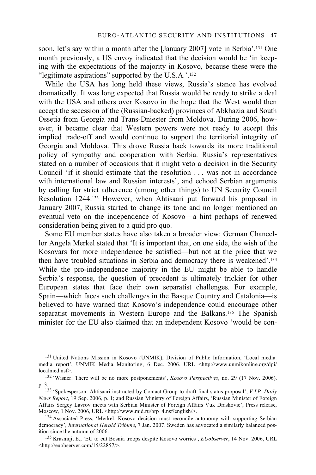soon, let's say within a month after the [January 2007] vote in Serbia'.<sup>131</sup> One month previously, a US envoy indicated that the decision would be 'in keeping with the expectations of the majority in Kosovo, because these were the "legitimate aspirations" supported by the U.S.A.'.132

While the USA has long held these views, Russia's stance has evolved dramatically. It was long expected that Russia would be ready to strike a deal with the USA and others over Kosovo in the hope that the West would then accept the secession of the (Russian-backed) provinces of Abkhazia and South Ossetia from Georgia and Trans-Dniester from Moldova. During 2006, however, it became clear that Western powers were not ready to accept this implied trade-off and would continue to support the territorial integrity of Georgia and Moldova. This drove Russia back towards its more traditional policy of sympathy and cooperation with Serbia. Russia's representatives stated on a number of occasions that it might veto a decision in the Security Council 'if it should estimate that the resolution . . . was not in accordance with international law and Russian interests', and echoed Serbian arguments by calling for strict adherence (among other things) to UN Security Council Resolution 1244.133 However, when Ahtisaari put forward his proposal in January 2007, Russia started to change its tone and no longer mentioned an eventual veto on the independence of Kosovo—a hint perhaps of renewed consideration being given to a quid pro quo.

Some EU member states have also taken a broader view: German Chancellor Angela Merkel stated that 'It is important that, on one side, the wish of the Kosovars for more independence be satisfied—but not at the price that we then have troubled situations in Serbia and democracy there is weakened'.134 While the pro-independence majority in the EU might be able to handle Serbia's response, the question of precedent is ultimately trickier for other European states that face their own separatist challenges. For example, Spain—which faces such challenges in the Basque Country and Catalonia—is believed to have warned that Kosovo's independence could encourage other separatist movements in Western Europe and the Balkans.<sup>135</sup> The Spanish minister for the EU also claimed that an independent Kosovo 'would be con-

<sup>131</sup> United Nations Mission in Kosovo (UNMIK), Division of Public Information, 'Local media: media report', UNMIK Media Monitoring, 6 Dec. 2006. URL <http://www.unmikonline.org/dpi/ localmed.nsf>. 132 'Wisner: There will be no more postponements', *Kosovo Perspectives*, no. 29 (17 Nov. 2006),

p. 3. 133 'Spokesperson: Ahtisaari instructed by Contact Group to draft final status proposal', *V.I.P. Daily* 

*News Report*, 19 Sep. 2006, p. 1; and Russian Ministry of Foreign Affairs, 'Russian Minister of Foreign Affairs Sergey Lavrov meets with Serbian Minister of Foreign Affairs Vuk Draskovic', Press release, Moscow, 1 Nov. 2006, URL <http://www.mid.ru/brp 4.nsf/english/>.

<sup>&</sup>lt;sup>134</sup> Associated Press, 'Merkel: Kosovo decision must reconcile autonomy with supporting Serbian democracy', *International Herald Tribune*, 7 Jan. 2007. Sweden has advocated a similarly balanced position since the autumn of 2006.<br><sup>135</sup> Krasniqi, E., 'EU to cut Bosnia troops despite Kosovo worries', *EUobserver*, 14 Nov. 2006, URL

<sup>&</sup>lt;http://euobserver.com/15/22857/>.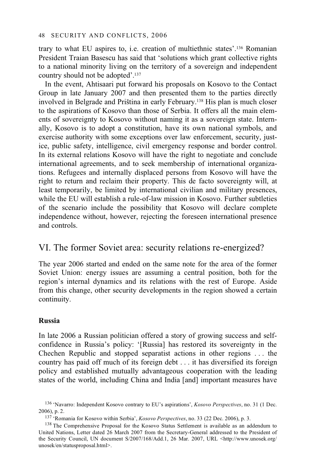trary to what EU aspires to, i.e. creation of multiethnic states'.136 Romanian President Traian Basescu has said that 'solutions which grant collective rights to a national minority living on the territory of a sovereign and independent country should not be adopted'.137

In the event, Ahtisaari put forward his proposals on Kosovo to the Contact Group in late January 2007 and then presented them to the parties directly involved in Belgrade and Priština in early February.<sup>138</sup> His plan is much closer to the aspirations of Kosovo than those of Serbia. It offers all the main elements of sovereignty to Kosovo without naming it as a sovereign state. Internally, Kosovo is to adopt a constitution, have its own national symbols, and exercise authority with some exceptions over law enforcement, security, justice, public safety, intelligence, civil emergency response and border control. In its external relations Kosovo will have the right to negotiate and conclude international agreements, and to seek membership of international organizations. Refugees and internally displaced persons from Kosovo will have the right to return and reclaim their property. This de facto sovereignty will, at least temporarily, be limited by international civilian and military presences, while the EU will establish a rule-of-law mission in Kosovo. Further subtleties of the scenario include the possibility that Kosovo will declare complete independence without, however, rejecting the foreseen international presence and controls.

# VI. The former Soviet area: security relations re-energized?

The year 2006 started and ended on the same note for the area of the former Soviet Union: energy issues are assuming a central position, both for the region's internal dynamics and its relations with the rest of Europe. Aside from this change, other security developments in the region showed a certain continuity.

### **Russia**

In late 2006 a Russian politician offered a story of growing success and selfconfidence in Russia's policy: '[Russia] has restored its sovereignty in the Chechen Republic and stopped separatist actions in other regions . . . the country has paid off much of its foreign debt . . . it has diversified its foreign policy and established mutually advantageous cooperation with the leading states of the world, including China and India [and] important measures have

<sup>136 &#</sup>x27;Navarro: Independent Kosovo contrary to EU's aspirations', *Kosovo Perspectives*, no. 31 (1 Dec. 2006), p. 2. 137 'Romania for Kosovo within Serbia', *Kosovo Perspectives*, no. 33 (22 Dec. 2006), p. 3. 138 The Comprehensive Proposal for the Kosovo Status Settlement is available as an addendum to

United Nations, Letter dated 26 March 2007 from the Secretary-General addressed to the President of the Security Council, UN document S/2007/168/Add.1, 26 Mar. 2007, URL <http://www.unosek.org/ unosek/en/statusproposal.html>.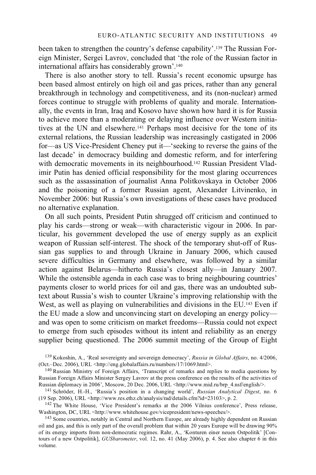been taken to strengthen the country's defense capability'.139 The Russian Foreign Minister, Sergei Lavrov, concluded that 'the role of the Russian factor in international affairs has considerably grown'.140

There is also another story to tell. Russia's recent economic upsurge has been based almost entirely on high oil and gas prices, rather than any general breakthrough in technology and competitiveness, and its (non-nuclear) armed forces continue to struggle with problems of quality and morale. Internationally, the events in Iran, Iraq and Kosovo have shown how hard it is for Russia to achieve more than a moderating or delaying influence over Western initiatives at the UN and elsewhere.141 Perhaps most decisive for the tone of its external relations, the Russian leadership was increasingly castigated in 2006 for—as US Vice-President Cheney put it—'seeking to reverse the gains of the last decade' in democracy building and domestic reform, and for interfering with democratic movements in its neighbourhood.<sup>142</sup> Russian President Vladimir Putin has denied official responsibility for the most glaring occurrences such as the assassination of journalist Anna Politkovskaya in October 2006 and the poisoning of a former Russian agent, Alexander Litvinenko, in November 2006: but Russia's own investigations of these cases have produced no alternative explanation.

On all such points, President Putin shrugged off criticism and continued to play his cards—strong or weak—with characteristic vigour in 2006. In particular, his government developed the use of energy supply as an explicit weapon of Russian self-interest. The shock of the temporary shut-off of Russian gas supplies to and through Ukraine in January 2006, which caused severe difficulties in Germany and elsewhere, was followed by a similar action against Belarus—hitherto Russia's closest ally—in January 2007. While the ostensible agenda in each case was to bring neighbouring countries' payments closer to world prices for oil and gas, there was an undoubted subtext about Russia's wish to counter Ukraine's improving relationship with the West, as well as playing on vulnerabilities and divisions in the EU.<sup>143</sup> Even if the EU made a slow and unconvincing start on developing an energy policy and was open to some criticism on market freedoms—Russia could not expect to emerge from such episodes without its intent and reliability as an energy supplier being questioned. The 2006 summit meeting of the Group of Eight

<sup>139</sup> Kokoshin, A., 'Real sovereignty and sovereign democracy', *Russia in Global Affairs*, no. 4/2006, (Oct.–Dec. 2006), URL <http://eng.globalaffairs.ru/numbers/17/1069.html>. 140 Russian Ministry of Foreign Affairs, 'Transcript of remarks and replies to media questions by

Russian Foreign Affairs Minister Sergey Lavrov at the press conference on the results of the activities of Russian diplomacy in 2006', Moscow, 20 Dec. 2006, URL <http://www.mid.ru/brp\_4.nsf/english/>. 141 Schröder, H.-H., 'Russia's position in a changing world', *Russian Analytical Digest*, no. 6

<sup>(19</sup> Sep. 2006), URL <http://www.res.ethz.ch/analysis/rad/details.cfm?id=23103>, p. 2.<br>
<sup>142</sup> The White House, 'Vice President's remarks at the 2006 Vilnius conference', Press release, Washington, DC, URL <http://www.whiteh

<sup>&</sup>lt;sup>143</sup> Some countries, notably in Central and Northern Europe, are already highly dependent on Russian oil and gas, and this is only part of the overall problem that within 20 years Europe will be drawing 90% of its energy imports from non-democratic regimes. Rahr, A., 'Konturen einer neuen Ostpolitik' [Contours of a new Ostpolitik], *GUSbarometer*, vol. 12, no. 41 (May 2006), p. 4. See also chapter 6 in this volume.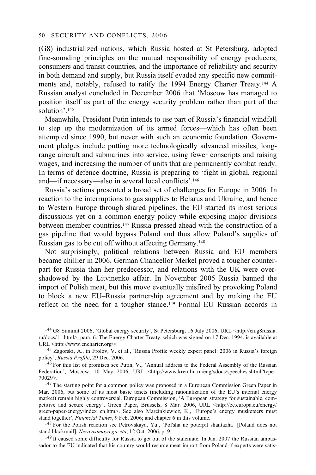(G8) industrialized nations, which Russia hosted at St Petersburg, adopted fine-sounding principles on the mutual responsibility of energy producers, consumers and transit countries, and the importance of reliability and security in both demand and supply, but Russia itself evaded any specific new commitments and, notably, refused to ratify the 1994 Energy Charter Treaty.144 A Russian analyst concluded in December 2006 that 'Moscow has managed to position itself as part of the energy security problem rather than part of the solution'.145

Meanwhile, President Putin intends to use part of Russia's financial windfall to step up the modernization of its armed forces—which has often been attempted since 1990, but never with such an economic foundation. Government pledges include putting more technologically advanced missiles, longrange aircraft and submarines into service, using fewer conscripts and raising wages, and increasing the number of units that are permanently combat ready. In terms of defence doctrine, Russia is preparing to 'fight in global, regional and—if necessary—also in several local conflicts'.146

Russia's actions presented a broad set of challenges for Europe in 2006. In reaction to the interruptions to gas supplies to Belarus and Ukraine, and hence to Western Europe through shared pipelines, the EU started its most serious discussions yet on a common energy policy while exposing major divisions between member countries.147 Russia pressed ahead with the construction of a gas pipeline that would bypass Poland and thus allow Poland's supplies of Russian gas to be cut off without affecting Germany.148

Not surprisingly, political relations between Russia and EU members became chillier in 2006. German Chancellor Merkel proved a tougher counterpart for Russia than her predecessor, and relations with the UK were overshadowed by the Litvinenko affair. In November 2005 Russia banned the import of Polish meat, but this move eventually misfired by provoking Poland to block a new EU–Russia partnership agreement and by making the EU reflect on the need for a tougher stance.149 Formal EU–Russian accords in

144 G8 Summit 2006, 'Global energy security', St Petersburg, 16 July 2006, URL <http://en.g8russia. ru/docs/11.html>, para. 6. The Energy Charter Treaty, which was signed on 17 Dec. 1994, is available at URL <http://www.encharter.org/>.

<sup>145</sup> Zagorski, A., in Frolov, V. et al., 'Russia Profile weekly expert panel: 2006 in Russia's foreign policy', *Russia Profile*, 29 Dec. 2006.<br><sup>146</sup> For this list of promises see Putin, V., 'Annual address to the Federal Assembly of the Russian

Federation', Moscow, 10 May 2006, URL <http://www.kremlin.ru/eng/sdocs/speeches.shtml?type= 70029>. 147 The starting point for a common policy was proposed in a European Commission Green Paper in

Mar. 2006, but some of its most basic tenets (including rationalization of the EU's internal energy market) remain highly controversial. European Commission, 'A European strategy for sustainable, competitive and secure energy', Green Paper, Brussels, 8 Mar. 2006, URL <http://ec.europa.eu/energy/ green-paper-energy/index\_en.htm>. See also Marcinkiewicz, K., 'Europe's energy musketeers must stand together', *Financial Times*, 9 Feb. 2006; and chapter 6 in this volume. 148 For the Polish reaction see Petrovskaya, Yu., 'Pol'sha ne poterpit shantazha' [Poland does not

stand blackmail], *Nezavisimaya gazeta*, 12 Oct. 2006, p. 9.<br><sup>149</sup> It caused some difficulty for Russia to get out of the stalemate. In Jan. 2007 the Russian ambas-

sador to the EU indicated that his country would resume meat import from Poland if experts were satis-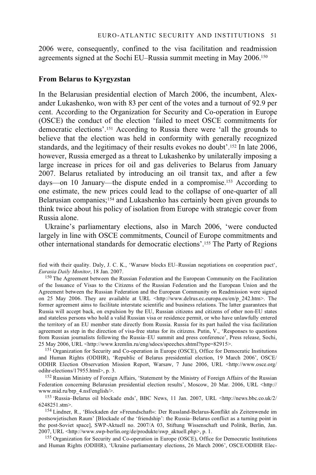2006 were, consequently, confined to the visa facilitation and readmission agreements signed at the Sochi EU–Russia summit meeting in May 2006.150

#### **From Belarus to Kyrgyzstan**

In the Belarusian presidential election of March 2006, the incumbent, Alexander Lukashenko, won with 83 per cent of the votes and a turnout of 92.9 per cent. According to the Organization for Security and Co-operation in Europe (OSCE) the conduct of the election 'failed to meet OSCE commitments for democratic elections'.151 According to Russia there were 'all the grounds to believe that the election was held in conformity with generally recognized standards, and the legitimacy of their results evokes no doubt'.152 In late 2006, however, Russia emerged as a threat to Lukashenko by unilaterally imposing a large increase in prices for oil and gas deliveries to Belarus from January 2007. Belarus retaliated by introducing an oil transit tax, and after a few days—on 10 January—the dispute ended in a compromise.153 According to one estimate, the new prices could lead to the collapse of one-quarter of all Belarusian companies;154 and Lukashenko has certainly been given grounds to think twice about his policy of isolation from Europe with strategic cover from Russia alone.

Ukraine's parliamentary elections, also in March 2006, 'were conducted largely in line with OSCE commitments, Council of Europe commitments and other international standards for democratic elections'.155 The Party of Regions

fied with their quality. Daly, J. C. K., 'Warsaw blocks EU–Russian negotiations on cooperation pact',

<sup>150</sup> The Agreement between the Russian Federation and the European Community on the Facilitation of the Issuance of Visas to the Citizens of the Russian Federation and the European Union and the Agreement between the Russian Federation and the European Community on Readmission were signed on 25 May 2006. They are available at URL <http://www.delrus.ec.europa.eu/en/p\_242.htm>. The former agreement aims to facilitate interstate scientific and business relations. The latter guarantees that Russia will accept back, on expulsion by the EU, Russian citizens and citizens of other non-EU states and stateless persons who hold a valid Russian visa or residence permit, or who have unlawfully entered the territory of an EU member state directly from Russia. Russia for its part hailed the visa facilitation agreement as step in the direction of visa-free status for its citizens. Putin, V., 'Responses to questions from Russian journalists following the Russia–EU summit and press conference', Press release, Sochi, 25 May 2006, URL <http://www.kremlin.ru/eng/sdocs/speeches.shtml?type=82915>.

<sup>151</sup> Organization for Security and Co-operation in Europe (OSCE), Office for Democratic Institutions and Human Rights (ODIHR), 'Republic of Belarus presidential election, 19 March 2006', OSCE/ ODIHR Election Observation Mission Report, Warsaw, 7 June 2006, URL <http://www.osce.org/

<sup>152</sup> Russian Ministry of Foreign Affairs, 'Statement by the Ministry of Foreign Affairs of the Russian Federation concerning Belarusian presidential election results', Moscow, 20 Mar. 2006, URL <http://

www.mid.ru/brp\_4.nsf/english/>.<br><sup>153</sup> 'Russia–Belarus oil blockade ends', BBC News, 11 Jan. 2007, URL <http://news.bbc.co.uk/2/

6248251.stm>. 154 Lindner, R., 'Blockaden der »Freundschaft«: Der Russland-Belarus-Konflikt als Zeitenwende im postsowjetischen Raum' [Blockade of the 'friendship': the Russia–Belarus conflict as a turning point in the post-Soviet space], SWP-Aktuell no. 2007/A 03, Stiftung Wissenschaft und Politik, Berlin, Jan. 2007, URL <http://www.swp-berlin.org/de/produkte/swp\_aktuell.php>, p. 1.<br><sup>155</sup> Organization for Security and Co-operation in Europe (OSCE), Office for Democratic Institutions

and Human Rights (ODIHR), 'Ukraine parliamentary elections, 26 March 2006', OSCE/ODIHR Elec-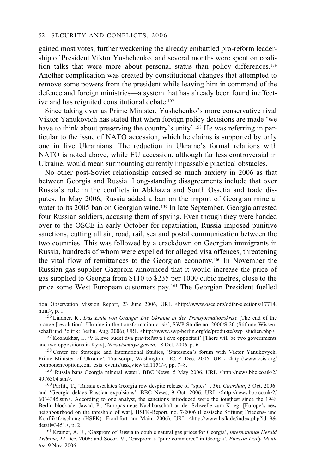gained most votes, further weakening the already embattled pro-reform leadership of President Viktor Yushchenko, and several months were spent on coalition talks that were more about personal status than policy differences.<sup>156</sup> Another complication was created by constitutional changes that attempted to remove some powers from the president while leaving him in command of the defence and foreign ministries—a system that has already been found ineffective and has reignited constitutional debate.157

Since taking over as Prime Minister, Yushchenko's more conservative rival Viktor Yanukovich has stated that when foreign policy decisions are made 'we have to think about preserving the country's unity'.<sup>158</sup> He was referring in particular to the issue of NATO accession, which he claims is supported by only one in five Ukrainians. The reduction in Ukraine's formal relations with NATO is noted above, while EU accession, although far less controversial in Ukraine, would mean surmounting currently impassable practical obstacles.

No other post-Soviet relationship caused so much anxiety in 2006 as that between Georgia and Russia. Long-standing disagreements include that over Russia's role in the conflicts in Abkhazia and South Ossetia and trade disputes. In May 2006, Russia added a ban on the import of Georgian mineral water to its 2005 ban on Georgian wine.<sup>159</sup> In late September, Georgia arrested four Russian soldiers, accusing them of spying. Even though they were handed over to the OSCE in early October for repatriation, Russia imposed punitive sanctions, cutting all air, road, rail, sea and postal communication between the two countries. This was followed by a crackdown on Georgian immigrants in Russia, hundreds of whom were expelled for alleged visa offences, threatening the vital flow of remittances to the Georgian economy.160 In November the Russian gas supplier Gazprom announced that it would increase the price of gas supplied to Georgia from \$110 to \$235 per 1000 cubic metres, close to the price some West European customers pay.161 The Georgian President fuelled

tion Observation Mission Report, 23 June 2006, URL <http://www.osce.org/odihr-elections/17714. html>, p. 1. 156 Lindner, R., *Das Ende von Orange: Die Ukraine in der Transformationskrise* [The end of the

orange [revolution]: Ukraine in the transformation crisis], SWP-Studie no. 2006/S 20 (Stiftung Wissen-

schaft und Politik: Berlin, Aug. 2006), URL <http://www.swp-berlin.org/de/produkte/swp\_studien.php> 157 Kozhukhar, I., 'V Kieve budet dva pravitel'stva i dve oppozitsii' [There will be two governments and two oppositions i

<sup>158</sup> Center for Strategic and International Studies, 'Statesmen's forum with Viktor Yanukovych, Prime Minister of Ukraine', Transcript, Washington, DC, 4 Dec. 2006, URL <http://www.csis.org/ component/option,com csis events/task,view/id,1151/>, pp. 7-8.

<sup>159</sup> 'Russia bans Georgia mineral water', BBC News, 5 May 2006, URL <http://news.bbc.co.uk/2/ 4976304.stm>. 160 Parfitt, T., 'Russia escalates Georgia row despite release of "spies"', *The Guardian*, 3 Oct. 2006;

and 'Georgia delays Russian expulsions', BBC News, 9 Oct. 2006, URL <http://news.bbc.co.uk/2/ 6034345.stm>. According to one analyst, the sanctions introduced were the toughest since the 1948 Berlin blockade. Jawad, P., 'Europas neue Nachbarschaft an der Schwelle zum Krieg' [Europe's new neighbourhood on the threshold of war], HSFK-Report, no. 7/2006 (Hessische Stiftung Friedens- und Konfliktforschung (HSFK): Frankfurt am Main, 2006), URL <http://www.hsfk.de/index.php?id=9& detail=3451>, p. 2.

<sup>161</sup> Kramer, A. E., 'Gazprom of Russia to double natural gas prices for Georgia', *International Herald Tribune*, 22 Dec. 2006; and Socor, V., 'Gazprom's "pure commerce" in Georgia', *Eurasia Daily Monitor*, 9 Nov. 2006.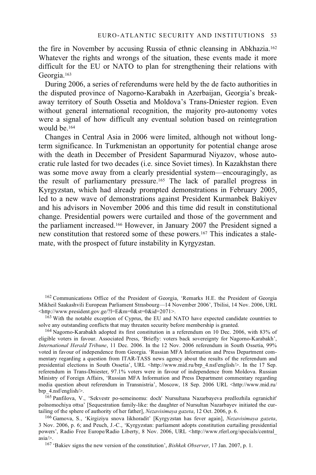the fire in November by accusing Russia of ethnic cleansing in Abkhazia.162 Whatever the rights and wrongs of the situation, these events made it more difficult for the EU or NATO to plan for strengthening their relations with Georgia.163

During 2006, a series of referendums were held by the de facto authorities in the disputed province of Nagorno-Karabakh in Azerbaijan, Georgia's breakaway territory of South Ossetia and Moldova's Trans-Dniester region. Even without general international recognition, the majority pro-autonomy votes were a signal of how difficult any eventual solution based on reintegration would be.164

Changes in Central Asia in 2006 were limited, although not without longterm significance. In Turkmenistan an opportunity for potential change arose with the death in December of President Saparmurad Niyazov, whose autocratic rule lasted for two decades (i.e. since Soviet times). In Kazakhstan there was some move away from a clearly presidential system—encouragingly, as the result of parliamentary pressure.165 The lack of parallel progress in Kyrgyzstan, which had already prompted demonstrations in February 2005, led to a new wave of demonstrations against President Kurmanbek Bakiyev and his advisors in November 2006 and this time did result in constitutional change. Presidential powers were curtailed and those of the government and the parliament increased.166 However, in January 2007 the President signed a new constitution that restored some of these powers.167 This indicates a stalemate, with the prospect of future instability in Kyrgyzstan.

 $164$  Nagorno-Karabakh adopted its first constitution in a referendum on 10 Dec. 2006, with 83% of eligible voters in favour. Associated Press, 'Briefly: voters back sovereignty for Nagorno-Karabakh', *International Herald Tribune*, 11 Dec. 2006. In the 12 Nov. 2006 referendum in South Ossetia, 99% voted in favour of independence from Georgia. 'Russian MFA Information and Press Department commentary regarding a question from ITAR-TASS news agency about the results of the referendum and presidential elections in South Ossetia', URL <http://www.mid.ru/brp 4.nsf/english/>. In the 17 Sep. referendum in Trans-Dniester, 97.1% voters were in favour of independence from Moldova. Russian Ministry of Foreign Affairs, 'Russian MFA Information and Press Department commentary regarding media question about referendum in Transnistria', Moscow, 18 Sep. 2006 URL <http://www.mid.ru/

brp\_4.nsf/english/>. 165 Panfilova, V., 'Sekvestr po-semeinomu: doch' Nursultana Nazarbayeva predlozhila ogranichit' polnomochiya ottsa' [Sequestration family-like: the daughter of Nursultan Nazarbayev initiated the cur-<br>tailing of the sphere of authority of her father], Nezavisimaya gazeta, 12 Oct. 2006, p. 6.

<sup>166</sup> Gamova, S., 'Kirgiziyu snova likhoradit' [Kyrgyzstan has fever again], *Nezavisimaya gazeta*, 3 Nov. 2006, p. 6; and Peuch, J.-C., 'Kyrgyzstan: parliament adopts constitution curtailing presidential powers', Radio Free Europe/Radio Liberty, 8 Nov. 2006, URL <http://www.rferl.org/specials/central\_ asia/>. 167 'Bakiev signs the new version of the constitution', *Bishkek Observer*, 17 Jan. 2007, p. 1.

<sup>&</sup>lt;sup>162</sup> Communications Office of the President of Georgia, 'Remarks H.E. the President of Georgia Mikheil Saakashvili European Parliament Strasbourg—14 November 2006', Tbilisi, 14 Nov. 2006, URL<br><http://www.president.gov.ge/?l=E&m=0&st=0&id=2071>.

 $163$  With the notable exception of Cyprus, the EU and NATO have expected candidate countries to solve any outstanding conflicts that may threaten security before membership is granted.